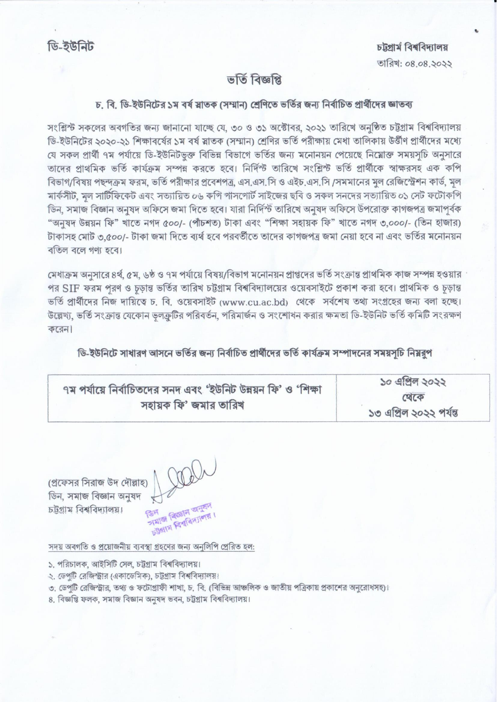ডি-ইউনিট

চট্টগাৰ্ম বিশ্ববিদ্যালয় তারিখ: ০৪.০৪.১০১১

## ভৰ্তি বিজ্ঞপ্তি

## চ, বি, ডি-ইউনিটের ১ম বর্ষ স্লাতক (সম্মান) শ্রেণিতে ভর্তির জন্য নির্বাচিত প্রার্থীদের জ্ঞাতব্য

সংশ্লিস্ট সকলের অবগতির জন্য জানানো যাচ্ছে যে, ৩০ ও ৩১ অক্টোবর, ২০২১ তারিখে অনুষ্ঠিত চট্টগ্রাম বিশ্ববিদ্যালয় ডি-ইউনিটের ২০২০-২১ শিক্ষাবর্ষের ১ম বর্ষ স্নাতক (সম্মান) শ্রেণির ভর্তি পরীক্ষায় মেধা তালিকায় উর্ত্তীণ প্রার্থীদের মধ্যে যে সকল প্রার্থী ৭ম পর্যায়ে ডি-ইউনিটভুক্ত বিভিন্ন বিভাগে ভর্তির জন্য মনোনয়ন পেয়েছে নিম্নোক্ত সময়সচি অনুসারে তাদের প্রাথমিক ভর্তি কার্যক্রম সম্পন্ন করতে হবে। নির্দিন্ট তারিখে সংশ্লিন্ট ভর্তি প্রার্থীকে স্বাক্ষরসহ এক কপি বিভাগ/বিষয় পছন্দক্রম ফরম, ভর্তি পরীক্ষার প্রবেশপত্র, এস.এস.সি ও এইচ.এস.সি /সমমানের মল রেজিস্ট্রেশন কার্ড, মল মাৰ্কসীট, মল সাটিফিকেট এবং সত্যায়িত ০৬ কপি পাসপোৰ্ট সাইজের ছবি ও সকল সনদের সত্যায়িত ০১ সেট ফটোকপি ডিন, সমাজ বিজ্ঞান অনুষদ অফিসে জমা দিতে হবে। যারা নির্দিস্ট তারিখে অনুষদ অফিসে উপরোক্ত কাগজপত্র জমাপূর্বক "অনুষদ উন্নয়ন ফি" খাতে নগদ ৫০০/- (পাঁচশত) টাকা এবং "শিক্ষা সহায়ক ফি" খাতে নগদ ৩,০০০/- (তিন হাজার) টাকাসহ মোট ৩.৫০০/- টাকা জমা দিতে ব্যর্থ হবে পরবর্তীতে তাদের কাগজপত্র জমা নেয়া হবে না এবং ভর্তির মনোনয়ন বতিল বলে গণ্য হবে।

মেধাক্রম অনুসারে ৪র্থ, ৫ম, ৬ষ্ঠ ও ৭ম পর্যায়ে বিষয়/বিভাগ মনোনয়ন প্রাপ্তদের ভর্তি সংক্রান্ত প্রাথমিক কাজ সম্পন্ন হওয়ার ' পর SIF ফরম পরণ ও চড়ান্ত ভর্তির তারিখ চট্টগ্রাম বিশ্ববিদ্যালয়ের ওয়েবসাইটে প্রকাশ করা হবে। প্রাথমিক ও চড়ান্ত ভর্তি প্রার্থীদের নিজ দায়িত্বে চ. বি. ওয়েবসাইট (www.cu.ac.bd) থেকে সর্বশেষ তথ্য সংগ্রহের জন্য বলা হচ্ছে। উল্লেখ্য, ভর্তি সংক্রান্ত যেকোন ভলক্রটির পরিবর্তন, পরিমার্জন ও সংশোধন করার ক্ষমতা ডি-ইউনিট ভর্তি কমিটি সংরক্ষণ  $\Phi$  $\left($  $\Psi$  $\right)$ 

ডি-ইউনিটে সাধারণ আসনে ভর্তির জন্য নির্বাচিত প্রার্থীদের ভর্তি কার্যক্রম সম্পাদনের সময়সচি নিয়রূপ

| ৭ম পর্যায়ে নির্বাচিতদের সনদ এবং 'ইউনিট উন্নয়ন ফি' ও 'শিক্ষা | ১০ এপ্রিল ২০২২         |
|---------------------------------------------------------------|------------------------|
|                                                               | খেকে                   |
| সহায়ক ফি' জমার তারিখ                                         | ১৩ এপ্রিল ২০২২ পর্যন্ত |

(প্রফেসর সিরাজ উদ দৌল্লাহ ডিন, সমাজ বিজ্ঞান অনুষদ চট্যাম বিশ্ববিদ্যালয়।

সমাজ বিজ্ঞান অ **bilgin Frafansion** 

সদয় অবগতি ও প্রয়োজনীয় ব্যবস্থা গ্রহণের জন্য অনুলিপি প্রেরিত হল:

১. পরিচালক, আইসিটি সেল, চট্টগ্রাম বিশ্ববিদ্যালয়।

২. ডেপুটি রেজিস্ট্রার (একাডেমিক), চট্টগ্রাম বিশ্ববিদ্যালয়।

৩. ডেপটি রেজিস্ট্রার, তথ্য ও ফটোগ্রাফী শাখা, চ. বি. (বিভিন্ন আঞ্চলিক ও জাতীয় পত্রিকায় প্রকাশের অনুরোধসহ)।

৪. বিজ্ঞপ্তি ফলক, সমাজ বিজ্ঞান অনম্বদ ভবন, চট্টগ্ৰাম বিশ্ববিদ্যালয়।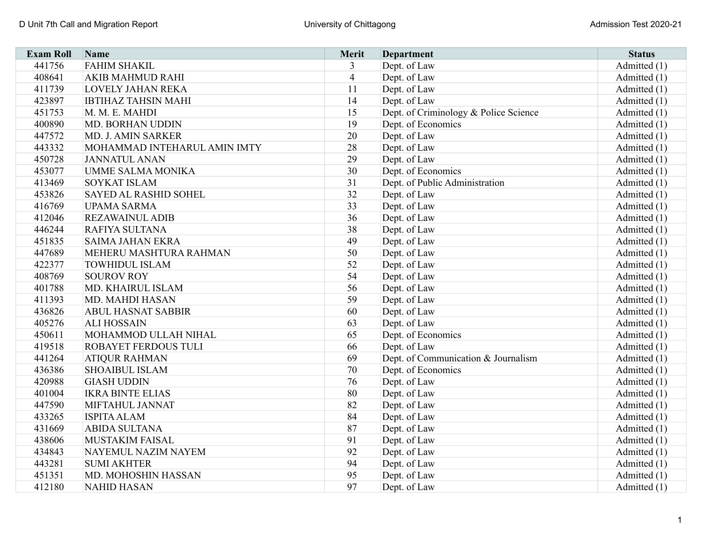| <b>Exam Roll</b> | Name                         | Merit          | <b>Department</b>                     | <b>Status</b>  |
|------------------|------------------------------|----------------|---------------------------------------|----------------|
| 441756           | <b>FAHIM SHAKIL</b>          | $\overline{3}$ | Dept. of Law                          | Admitted (1)   |
| 408641           | <b>AKIB MAHMUD RAHI</b>      | $\overline{4}$ | Dept. of Law                          | Admitted (1)   |
| 411739           | <b>LOVELY JAHAN REKA</b>     | 11             | Dept. of Law                          | Admitted (1)   |
| 423897           | <b>IBTIHAZ TAHSIN MAHI</b>   | 14             | Dept. of Law                          | Admitted (1)   |
| 451753           | M. M. E. MAHDI               | 15             | Dept. of Criminology & Police Science | Admitted (1)   |
| 400890           | MD. BORHAN UDDIN             | 19             | Dept. of Economics                    | Admitted (1)   |
| 447572           | MD. J. AMIN SARKER           | 20             | Dept. of Law                          | Admitted $(1)$ |
| 443332           | MOHAMMAD INTEHARUL AMIN IMTY | 28             | Dept. of Law                          | Admitted (1)   |
| 450728           | <b>JANNATUL ANAN</b>         | 29             | Dept. of Law                          | Admitted (1)   |
| 453077           | <b>UMME SALMA MONIKA</b>     | 30             | Dept. of Economics                    | Admitted (1)   |
| 413469           | <b>SOYKAT ISLAM</b>          | 31             | Dept. of Public Administration        | Admitted (1)   |
| 453826           | <b>SAYED AL RASHID SOHEL</b> | 32             | Dept. of Law                          | Admitted (1)   |
| 416769           | <b>UPAMA SARMA</b>           | 33             | Dept. of Law                          | Admitted (1)   |
| 412046           | <b>REZAWAINUL ADIB</b>       | 36             | Dept. of Law                          | Admitted (1)   |
| 446244           | RAFIYA SULTANA               | 38             | Dept. of Law                          | Admitted $(1)$ |
| 451835           | <b>SAIMA JAHAN EKRA</b>      | 49             | Dept. of Law                          | Admitted (1)   |
| 447689           | MEHERU MASHTURA RAHMAN       | 50             | Dept. of Law                          | Admitted (1)   |
| 422377           | <b>TOWHIDUL ISLAM</b>        | 52             | Dept. of Law                          | Admitted (1)   |
| 408769           | <b>SOUROV ROY</b>            | 54             | Dept. of Law                          | Admitted $(1)$ |
| 401788           | MD. KHAIRUL ISLAM            | 56             | Dept. of Law                          | Admitted (1)   |
| 411393           | MD. MAHDI HASAN              | 59             | Dept. of Law                          | Admitted $(1)$ |
| 436826           | <b>ABUL HASNAT SABBIR</b>    | 60             | Dept. of Law                          | Admitted $(1)$ |
| 405276           | <b>ALI HOSSAIN</b>           | 63             | Dept. of Law                          | Admitted (1)   |
| 450611           | MOHAMMOD ULLAH NIHAL         | 65             | Dept. of Economics                    | Admitted (1)   |
| 419518           | <b>ROBAYET FERDOUS TULI</b>  | 66             | Dept. of Law                          | Admitted (1)   |
| 441264           | <b>ATIQUR RAHMAN</b>         | 69             | Dept. of Communication & Journalism   | Admitted (1)   |
| 436386           | <b>SHOAIBUL ISLAM</b>        | 70             | Dept. of Economics                    | Admitted (1)   |
| 420988           | <b>GIASH UDDIN</b>           | 76             | Dept. of Law                          | Admitted (1)   |
| 401004           | <b>IKRA BINTE ELIAS</b>      | 80             | Dept. of Law                          | Admitted (1)   |
| 447590           | MIFTAHUL JANNAT              | 82             | Dept. of Law                          | Admitted (1)   |
| 433265           | <b>ISPITA ALAM</b>           | 84             | Dept. of Law                          | Admitted (1)   |
| 431669           | <b>ABIDA SULTANA</b>         | 87             | Dept. of Law                          | Admitted (1)   |
| 438606           | <b>MUSTAKIM FAISAL</b>       | 91             | Dept. of Law                          | Admitted (1)   |
| 434843           | NAYEMUL NAZIM NAYEM          | 92             | Dept. of Law                          | Admitted (1)   |
| 443281           | <b>SUMI AKHTER</b>           | 94             | Dept. of Law                          | Admitted (1)   |
| 451351           | MD. MOHOSHIN HASSAN          | 95             | Dept. of Law                          | Admitted (1)   |
| 412180           | <b>NAHID HASAN</b>           | 97             | Dept. of Law                          | Admitted (1)   |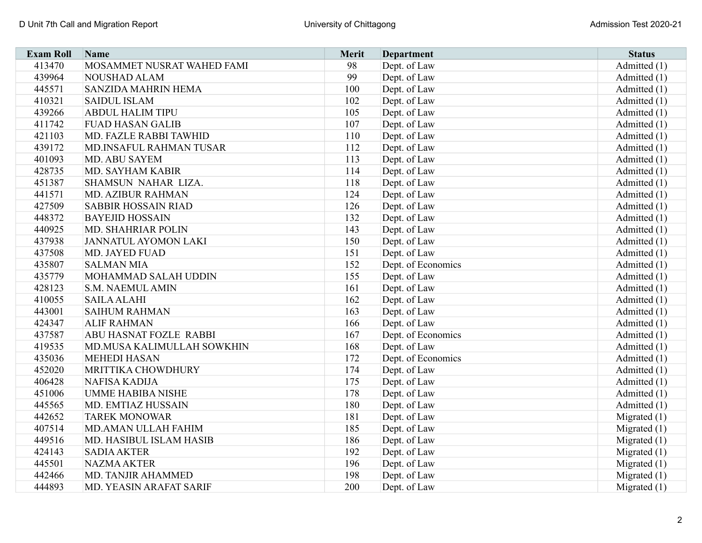| <b>Exam Roll</b> | Name                          | <b>Merit</b> | <b>Department</b>  | <b>Status</b>  |
|------------------|-------------------------------|--------------|--------------------|----------------|
| 413470           | MOSAMMET NUSRAT WAHED FAMI    | 98           | Dept. of Law       | Admitted (1)   |
| 439964           | NOUSHAD ALAM                  | 99           | Dept. of Law       | Admitted (1)   |
| 445571           | SANZIDA MAHRIN HEMA           | 100          | Dept. of Law       | Admitted (1)   |
| 410321           | <b>SAIDUL ISLAM</b>           | 102          | Dept. of Law       | Admitted (1)   |
| 439266           | <b>ABDUL HALIM TIPU</b>       | 105          | Dept. of Law       | Admitted (1)   |
| 411742           | <b>FUAD HASAN GALIB</b>       | 107          | Dept. of Law       | Admitted (1)   |
| 421103           | MD. FAZLE RABBI TAWHID        | 110          | Dept. of Law       | Admitted (1)   |
| 439172           | MD.INSAFUL RAHMAN TUSAR       | 112          | Dept. of Law       | Admitted (1)   |
| 401093           | MD. ABU SAYEM                 | 113          | Dept. of Law       | Admitted (1)   |
| 428735           | MD. SAYHAM KABIR              | 114          | Dept. of Law       | Admitted (1)   |
| 451387           | SHAMSUN NAHAR LIZA.           | 118          | Dept. of Law       | Admitted (1)   |
| 441571           | MD. AZIBUR RAHMAN             | 124          | Dept. of Law       | Admitted (1)   |
| 427509           | <b>SABBIR HOSSAIN RIAD</b>    | 126          | Dept. of Law       | Admitted (1)   |
| 448372           | <b>BAYEJID HOSSAIN</b>        | 132          | Dept. of Law       | Admitted (1)   |
| 440925           | MD. SHAHRIAR POLIN            | 143          | Dept. of Law       | Admitted (1)   |
| 437938           | <b>JANNATUL AYOMON LAKI</b>   | 150          | Dept. of Law       | Admitted (1)   |
| 437508           | <b>MD. JAYED FUAD</b>         | 151          | Dept. of Law       | Admitted (1)   |
| 435807           | <b>SALMAN MIA</b>             | 152          | Dept. of Economics | Admitted (1)   |
| 435779           | MOHAMMAD SALAH UDDIN          | 155          | Dept. of Law       | Admitted (1)   |
| 428123           | <b>S.M. NAEMUL AMIN</b>       | 161          | Dept. of Law       | Admitted (1)   |
| 410055           | <b>SAILA ALAHI</b>            | 162          | Dept. of Law       | Admitted $(1)$ |
| 443001           | <b>SAIHUM RAHMAN</b>          | 163          | Dept. of Law       | Admitted (1)   |
| 424347           | <b>ALIF RAHMAN</b>            | 166          | Dept. of Law       | Admitted (1)   |
| 437587           | <b>ABU HASNAT FOZLE RABBI</b> | 167          | Dept. of Economics | Admitted (1)   |
| 419535           | MD.MUSA KALIMULLAH SOWKHIN    | 168          | Dept. of Law       | Admitted $(1)$ |
| 435036           | <b>MEHEDI HASAN</b>           | 172          | Dept. of Economics | Admitted (1)   |
| 452020           | MRITTIKA CHOWDHURY            | 174          | Dept. of Law       | Admitted (1)   |
| 406428           | <b>NAFISA KADIJA</b>          | 175          | Dept. of Law       | Admitted (1)   |
| 451006           | <b>UMME HABIBA NISHE</b>      | 178          | Dept. of Law       | Admitted (1)   |
| 445565           | MD. EMTIAZ HUSSAIN            | 180          | Dept. of Law       | Admitted (1)   |
| 442652           | <b>TAREK MONOWAR</b>          | 181          | Dept. of Law       | Migrated $(1)$ |
| 407514           | MD.AMAN ULLAH FAHIM           | 185          | Dept. of Law       | Migrated $(1)$ |
| 449516           | MD. HASIBUL ISLAM HASIB       | 186          | Dept. of Law       | Migrated $(1)$ |
| 424143           | <b>SADIA AKTER</b>            | 192          | Dept. of Law       | Migrated $(1)$ |
| 445501           | <b>NAZMA AKTER</b>            | 196          | Dept. of Law       | Migrated $(1)$ |
| 442466           | MD. TANJIR AHAMMED            | 198          | Dept. of Law       | Migrated $(1)$ |
| 444893           | MD. YEASIN ARAFAT SARIF       | 200          | Dept. of Law       | Migrated $(1)$ |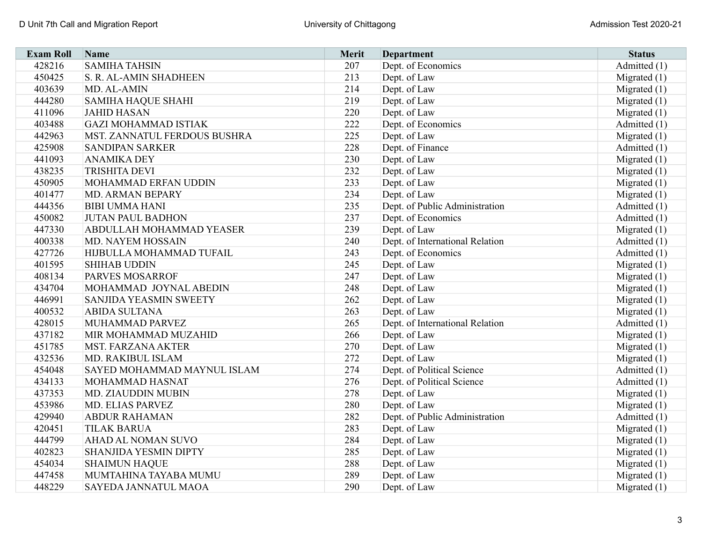| <b>Exam Roll</b> | Name                            | <b>Merit</b> | <b>Department</b>               | <b>Status</b>  |
|------------------|---------------------------------|--------------|---------------------------------|----------------|
| 428216           | <b>SAMIHA TAHSIN</b>            | 207          | Dept. of Economics              | Admitted (1)   |
| 450425           | S. R. AL-AMIN SHADHEEN          | 213          | Dept. of Law                    | Migrated $(1)$ |
| 403639           | MD. AL-AMIN                     | 214          | Dept. of Law                    | Migrated $(1)$ |
| 444280           | <b>SAMIHA HAQUE SHAHI</b>       | 219          | Dept. of Law                    | Migrated $(1)$ |
| 411096           | <b>JAHID HASAN</b>              | 220          | Dept. of Law                    | Migrated $(1)$ |
| 403488           | <b>GAZI MOHAMMAD ISTIAK</b>     | 222          | Dept. of Economics              | Admitted (1)   |
| 442963           | MST. ZANNATUL FERDOUS BUSHRA    | 225          | Dept. of Law                    | Migrated $(1)$ |
| 425908           | <b>SANDIPAN SARKER</b>          | 228          | Dept. of Finance                | Admitted (1)   |
| 441093           | <b>ANAMIKA DEY</b>              | 230          | Dept. of Law                    | Migrated $(1)$ |
| 438235           | <b>TRISHITA DEVI</b>            | 232          | Dept. of Law                    | Migrated $(1)$ |
| 450905           | MOHAMMAD ERFAN UDDIN            | 233          | Dept. of Law                    | Migrated $(1)$ |
| 401477           | MD. ARMAN BEPARY                | 234          | Dept. of Law                    | Migrated $(1)$ |
| 444356           | <b>BIBI UMMA HANI</b>           | 235          | Dept. of Public Administration  | Admitted (1)   |
| 450082           | <b>JUTAN PAUL BADHON</b>        | 237          | Dept. of Economics              | Admitted (1)   |
| 447330           | <b>ABDULLAH MOHAMMAD YEASER</b> | 239          | Dept. of Law                    | Migrated $(1)$ |
| 400338           | MD. NAYEM HOSSAIN               | 240          | Dept. of International Relation | Admitted (1)   |
| 427726           | HIJBULLA MOHAMMAD TUFAIL        | 243          | Dept. of Economics              | Admitted (1)   |
| 401595           | <b>SHIHAB UDDIN</b>             | 245          | Dept. of Law                    | Migrated $(1)$ |
| 408134           | <b>PARVES MOSARROF</b>          | 247          | Dept. of Law                    | Migrated $(1)$ |
| 434704           | MOHAMMAD JOYNAL ABEDIN          | 248          | Dept. of Law                    | Migrated $(1)$ |
| 446991           | <b>SANJIDA YEASMIN SWEETY</b>   | 262          | Dept. of Law                    | Migrated (1)   |
| 400532           | <b>ABIDA SULTANA</b>            | 263          | Dept. of Law                    | Migrated (1)   |
| 428015           | MUHAMMAD PARVEZ                 | 265          | Dept. of International Relation | Admitted (1)   |
| 437182           | MIR MOHAMMAD MUZAHID            | 266          | Dept. of Law                    | Migrated $(1)$ |
| 451785           | <b>MST. FARZANA AKTER</b>       | 270          | Dept. of Law                    | Migrated (1)   |
| 432536           | MD. RAKIBUL ISLAM               | 272          | Dept. of Law                    | Migrated (1)   |
| 454048           | SAYED MOHAMMAD MAYNUL ISLAM     | 274          | Dept. of Political Science      | Admitted (1)   |
| 434133           | MOHAMMAD HASNAT                 | 276          | Dept. of Political Science      | Admitted (1)   |
| 437353           | MD. ZIAUDDIN MUBIN              | 278          | Dept. of Law                    | Migrated $(1)$ |
| 453986           | MD. ELIAS PARVEZ                | 280          | Dept. of Law                    | Migrated $(1)$ |
| 429940           | <b>ABDUR RAHAMAN</b>            | 282          | Dept. of Public Administration  | Admitted (1)   |
| 420451           | <b>TILAK BARUA</b>              | 283          | Dept. of Law                    | Migrated $(1)$ |
| 444799           | AHAD AL NOMAN SUVO              | 284          | Dept. of Law                    | Migrated $(1)$ |
| 402823           | SHANJIDA YESMIN DIPTY           | 285          | Dept. of Law                    | Migrated $(1)$ |
| 454034           | <b>SHAIMUN HAQUE</b>            | 288          | Dept. of Law                    | Migrated $(1)$ |
| 447458           | MUMTAHINA TAYABA MUMU           | 289          | Dept. of Law                    | Migrated $(1)$ |
| 448229           | SAYEDA JANNATUL MAOA            | 290          | Dept. of Law                    | Migrated $(1)$ |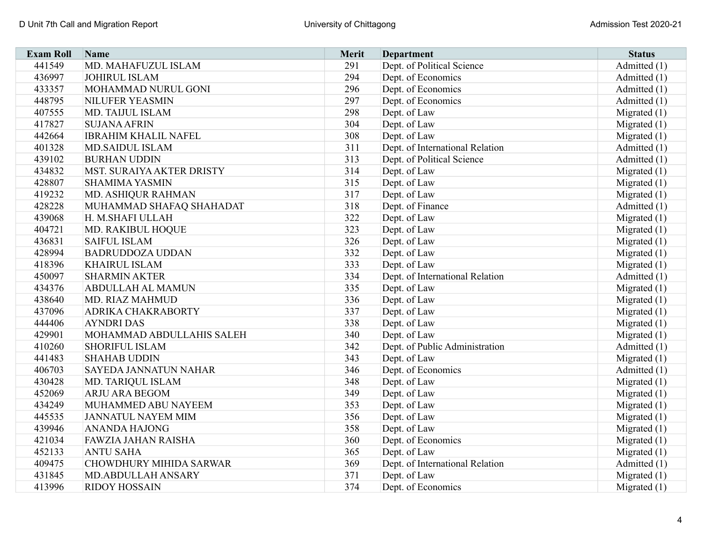| <b>Exam Roll</b> | Name                           | Merit | <b>Department</b>               | <b>Status</b>  |
|------------------|--------------------------------|-------|---------------------------------|----------------|
| 441549           | MD. MAHAFUZUL ISLAM            | 291   | Dept. of Political Science      | Admitted (1)   |
| 436997           | <b>JOHIRUL ISLAM</b>           | 294   | Dept. of Economics              | Admitted (1)   |
| 433357           | MOHAMMAD NURUL GONI            | 296   | Dept. of Economics              | Admitted (1)   |
| 448795           | <b>NILUFER YEASMIN</b>         | 297   | Dept. of Economics              | Admitted (1)   |
| 407555           | MD. TAIJUL ISLAM               | 298   | Dept. of Law                    | Migrated $(1)$ |
| 417827           | <b>SUJANA AFRIN</b>            | 304   | Dept. of Law                    | Migrated $(1)$ |
| 442664           | <b>IBRAHIM KHALIL NAFEL</b>    | 308   | Dept. of Law                    | Migrated $(1)$ |
| 401328           | <b>MD.SAIDUL ISLAM</b>         | 311   | Dept. of International Relation | Admitted (1)   |
| 439102           | <b>BURHAN UDDIN</b>            | 313   | Dept. of Political Science      | Admitted (1)   |
| 434832           | MST. SURAIYA AKTER DRISTY      | 314   | Dept. of Law                    | Migrated $(1)$ |
| 428807           | <b>SHAMIMA YASMIN</b>          | 315   | Dept. of Law                    | Migrated $(1)$ |
| 419232           | MD. ASHIQUR RAHMAN             | 317   | Dept. of Law                    | Migrated $(1)$ |
| 428228           | MUHAMMAD SHAFAQ SHAHADAT       | 318   | Dept. of Finance                | Admitted (1)   |
| 439068           | H. M.SHAFI ULLAH               | 322   | Dept. of Law                    | Migrated $(1)$ |
| 404721           | MD. RAKIBUL HOQUE              | 323   | Dept. of Law                    | Migrated $(1)$ |
| 436831           | <b>SAIFUL ISLAM</b>            | 326   | Dept. of Law                    | Migrated $(1)$ |
| 428994           | <b>BADRUDDOZA UDDAN</b>        | 332   | Dept. of Law                    | Migrated $(1)$ |
| 418396           | <b>KHAIRUL ISLAM</b>           | 333   | Dept. of Law                    | Migrated $(1)$ |
| 450097           | <b>SHARMIN AKTER</b>           | 334   | Dept. of International Relation | Admitted (1)   |
| 434376           | <b>ABDULLAH AL MAMUN</b>       | 335   | Dept. of Law                    | Migrated $(1)$ |
| 438640           | MD. RIAZ MAHMUD                | 336   | Dept. of Law                    | Migrated $(1)$ |
| 437096           | <b>ADRIKA CHAKRABORTY</b>      | 337   | Dept. of Law                    | Migrated $(1)$ |
| 444406           | <b>AYNDRI DAS</b>              | 338   | Dept. of Law                    | Migrated $(1)$ |
| 429901           | MOHAMMAD ABDULLAHIS SALEH      | 340   | Dept. of Law                    | Migrated $(1)$ |
| 410260           | <b>SHORIFUL ISLAM</b>          | 342   | Dept. of Public Administration  | Admitted (1)   |
| 441483           | <b>SHAHAB UDDIN</b>            | 343   | Dept. of Law                    | Migrated $(1)$ |
| 406703           | SAYEDA JANNATUN NAHAR          | 346   | Dept. of Economics              | Admitted (1)   |
| 430428           | MD. TARIQUL ISLAM              | 348   | Dept. of Law                    | Migrated $(1)$ |
| 452069           | ARJU ARA BEGOM                 | 349   | Dept. of Law                    | Migrated $(1)$ |
| 434249           | MUHAMMED ABU NAYEEM            | 353   | Dept. of Law                    | Migrated $(1)$ |
| 445535           | <b>JANNATUL NAYEM MIM</b>      | 356   | Dept. of Law                    | Migrated $(1)$ |
| 439946           | <b>ANANDA HAJONG</b>           | 358   | Dept. of Law                    | Migrated $(1)$ |
| 421034           | <b>FAWZIA JAHAN RAISHA</b>     | 360   | Dept. of Economics              | Migrated $(1)$ |
| 452133           | <b>ANTU SAHA</b>               | 365   | Dept. of Law                    | Migrated $(1)$ |
| 409475           | <b>CHOWDHURY MIHIDA SARWAR</b> | 369   | Dept. of International Relation | Admitted (1)   |
| 431845           | MD.ABDULLAH ANSARY             | 371   | Dept. of Law                    | Migrated $(1)$ |
| 413996           | <b>RIDOY HOSSAIN</b>           | 374   | Dept. of Economics              | Migrated $(1)$ |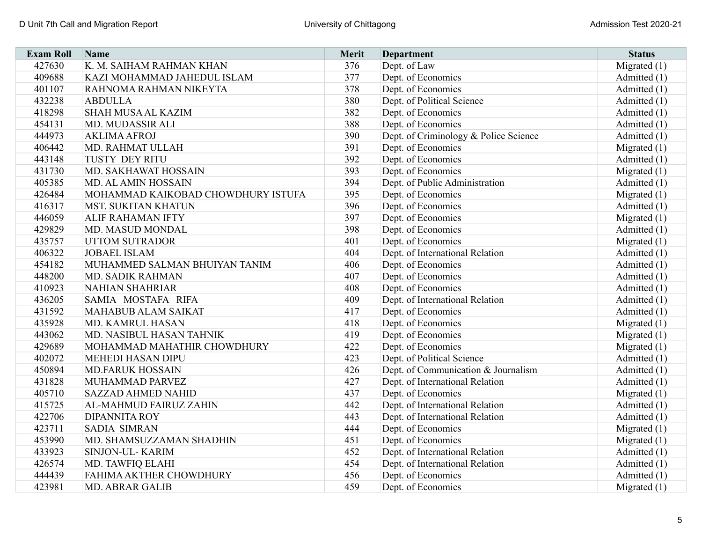| <b>Exam Roll</b> | Name                               | Merit | <b>Department</b>                     | <b>Status</b>  |
|------------------|------------------------------------|-------|---------------------------------------|----------------|
| 427630           | K. M. SAIHAM RAHMAN KHAN           | 376   | Dept. of Law                          | Migrated $(1)$ |
| 409688           | KAZI MOHAMMAD JAHEDUL ISLAM        | 377   | Dept. of Economics                    | Admitted (1)   |
| 401107           | RAHNOMA RAHMAN NIKEYTA             | 378   | Dept. of Economics                    | Admitted (1)   |
| 432238           | <b>ABDULLA</b>                     | 380   | Dept. of Political Science            | Admitted (1)   |
| 418298           | <b>SHAH MUSA AL KAZIM</b>          | 382   | Dept. of Economics                    | Admitted (1)   |
| 454131           | MD. MUDASSIR ALI                   | 388   | Dept. of Economics                    | Admitted (1)   |
| 444973           | <b>AKLIMA AFROJ</b>                | 390   | Dept. of Criminology & Police Science | Admitted (1)   |
| 406442           | MD. RAHMAT ULLAH                   | 391   | Dept. of Economics                    | Migrated $(1)$ |
| 443148           | <b>TUSTY DEY RITU</b>              | 392   | Dept. of Economics                    | Admitted (1)   |
| 431730           | MD. SAKHAWAT HOSSAIN               | 393   | Dept. of Economics                    | Migrated $(1)$ |
| 405385           | <b>MD. AL AMIN HOSSAIN</b>         | 394   | Dept. of Public Administration        | Admitted (1)   |
| 426484           | MOHAMMAD KAIKOBAD CHOWDHURY ISTUFA | 395   | Dept. of Economics                    | Migrated $(1)$ |
| 416317           | <b>MST. SUKITAN KHATUN</b>         | 396   | Dept. of Economics                    | Admitted (1)   |
| 446059           | <b>ALIF RAHAMAN IFTY</b>           | 397   | Dept. of Economics                    | Migrated $(1)$ |
| 429829           | MD. MASUD MONDAL                   | 398   | Dept. of Economics                    | Admitted (1)   |
| 435757           | <b>UTTOM SUTRADOR</b>              | 401   | Dept. of Economics                    | Migrated $(1)$ |
| 406322           | <b>JOBAEL ISLAM</b>                | 404   | Dept. of International Relation       | Admitted (1)   |
| 454182           | MUHAMMED SALMAN BHUIYAN TANIM      | 406   | Dept. of Economics                    | Admitted (1)   |
| 448200           | MD. SADIK RAHMAN                   | 407   | Dept. of Economics                    | Admitted (1)   |
| 410923           | <b>NAHIAN SHAHRIAR</b>             | 408   | Dept. of Economics                    | Admitted (1)   |
| 436205           | SAMIA MOSTAFA RIFA                 | 409   | Dept. of International Relation       | Admitted (1)   |
| 431592           | <b>MAHABUB ALAM SAIKAT</b>         | 417   | Dept. of Economics                    | Admitted (1)   |
| 435928           | MD. KAMRUL HASAN                   | 418   | Dept. of Economics                    | Migrated $(1)$ |
| 443062           | MD. NASIBUL HASAN TAHNIK           | 419   | Dept. of Economics                    | Migrated (1)   |
| 429689           | MOHAMMAD MAHATHIR CHOWDHURY        | 422   | Dept. of Economics                    | Migrated $(1)$ |
| 402072           | <b>MEHEDI HASAN DIPU</b>           | 423   | Dept. of Political Science            | Admitted (1)   |
| 450894           | <b>MD.FARUK HOSSAIN</b>            | 426   | Dept. of Communication & Journalism   | Admitted (1)   |
| 431828           | MUHAMMAD PARVEZ                    | 427   | Dept. of International Relation       | Admitted (1)   |
| 405710           | <b>SAZZAD AHMED NAHID</b>          | 437   | Dept. of Economics                    | Migrated $(1)$ |
| 415725           | AL-MAHMUD FAIRUZ ZAHIN             | 442   | Dept. of International Relation       | Admitted (1)   |
| 422706           | <b>DIPANNITA ROY</b>               | 443   | Dept. of International Relation       | Admitted (1)   |
| 423711           | <b>SADIA SIMRAN</b>                | 444   | Dept. of Economics                    | Migrated $(1)$ |
| 453990           | MD. SHAMSUZZAMAN SHADHIN           | 451   | Dept. of Economics                    | Migrated $(1)$ |
| 433923           | SINJON-UL-KARIM                    | 452   | Dept. of International Relation       | Admitted (1)   |
| 426574           | MD. TAWFIQ ELAHI                   | 454   | Dept. of International Relation       | Admitted (1)   |
| 444439           | FAHIMA AKTHER CHOWDHURY            | 456   | Dept. of Economics                    | Admitted (1)   |
| 423981           | <b>MD. ABRAR GALIB</b>             | 459   | Dept. of Economics                    | Migrated $(1)$ |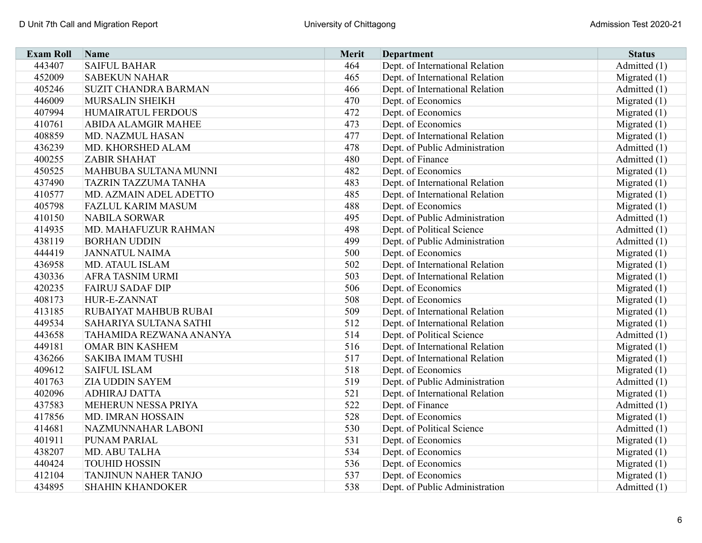| <b>Exam Roll</b> | Name                          | <b>Merit</b> | <b>Department</b>               | <b>Status</b>  |
|------------------|-------------------------------|--------------|---------------------------------|----------------|
| 443407           | <b>SAIFUL BAHAR</b>           | 464          | Dept. of International Relation | Admitted (1)   |
| 452009           | <b>SABEKUN NAHAR</b>          | 465          | Dept. of International Relation | Migrated $(1)$ |
| 405246           | <b>SUZIT CHANDRA BARMAN</b>   | 466          | Dept. of International Relation | Admitted (1)   |
| 446009           | MURSALIN SHEIKH               | 470          | Dept. of Economics              | Migrated $(1)$ |
| 407994           | HUMAIRATUL FERDOUS            | 472          | Dept. of Economics              | Migrated $(1)$ |
| 410761           | <b>ABIDA ALAMGIR MAHEE</b>    | 473          | Dept. of Economics              | Migrated $(1)$ |
| 408859           | MD. NAZMUL HASAN              | 477          | Dept. of International Relation | Migrated $(1)$ |
| 436239           | MD. KHORSHED ALAM             | 478          | Dept. of Public Administration  | Admitted (1)   |
| 400255           | <b>ZABIR SHAHAT</b>           | 480          | Dept. of Finance                | Admitted (1)   |
| 450525           | MAHBUBA SULTANA MUNNI         | 482          | Dept. of Economics              | Migrated $(1)$ |
| 437490           | <b>TAZRIN TAZZUMA TANHA</b>   | 483          | Dept. of International Relation | Migrated $(1)$ |
| 410577           | MD. AZMAIN ADEL ADETTO        | 485          | Dept. of International Relation | Migrated $(1)$ |
| 405798           | <b>FAZLUL KARIM MASUM</b>     | 488          | Dept. of Economics              | Migrated $(1)$ |
| 410150           | <b>NABILA SORWAR</b>          | 495          | Dept. of Public Administration  | Admitted (1)   |
| 414935           | MD. MAHAFUZUR RAHMAN          | 498          | Dept. of Political Science      | Admitted (1)   |
| 438119           | <b>BORHAN UDDIN</b>           | 499          | Dept. of Public Administration  | Admitted (1)   |
| 444419           | <b>JANNATUL NAIMA</b>         | 500          | Dept. of Economics              | Migrated $(1)$ |
| 436958           | <b>MD. ATAUL ISLAM</b>        | 502          | Dept. of International Relation | Migrated $(1)$ |
| 430336           | <b>AFRA TASNIM URMI</b>       | 503          | Dept. of International Relation | Migrated $(1)$ |
| 420235           | <b>FAIRUJ SADAF DIP</b>       | 506          | Dept. of Economics              | Migrated $(1)$ |
| 408173           | HUR-E-ZANNAT                  | 508          | Dept. of Economics              | Migrated $(1)$ |
| 413185           | <b>RUBAIYAT MAHBUB RUBAI</b>  | 509          | Dept. of International Relation | Migrated $(1)$ |
| 449534           | <b>SAHARIYA SULTANA SATHI</b> | 512          | Dept. of International Relation | Migrated $(1)$ |
| 443658           | TAHAMIDA REZWANA ANANYA       | 514          | Dept. of Political Science      | Admitted (1)   |
| 449181           | <b>OMAR BIN KASHEM</b>        | 516          | Dept. of International Relation | Migrated $(1)$ |
| 436266           | <b>SAKIBA IMAM TUSHI</b>      | 517          | Dept. of International Relation | Migrated (1)   |
| 409612           | <b>SAIFUL ISLAM</b>           | 518          | Dept. of Economics              | Migrated $(1)$ |
| 401763           | <b>ZIA UDDIN SAYEM</b>        | 519          | Dept. of Public Administration  | Admitted (1)   |
| 402096           | <b>ADHIRAJ DATTA</b>          | 521          | Dept. of International Relation | Migrated $(1)$ |
| 437583           | MEHERUN NESSA PRIYA           | 522          | Dept. of Finance                | Admitted (1)   |
| 417856           | <b>MD. IMRAN HOSSAIN</b>      | 528          | Dept. of Economics              | Migrated $(1)$ |
| 414681           | NAZMUNNAHAR LABONI            | 530          | Dept. of Political Science      | Admitted (1)   |
| 401911           | PUNAM PARIAL                  | 531          | Dept. of Economics              | Migrated $(1)$ |
| 438207           | MD. ABU TALHA                 | 534          | Dept. of Economics              | Migrated $(1)$ |
| 440424           | <b>TOUHID HOSSIN</b>          | 536          | Dept. of Economics              | Migrated $(1)$ |
| 412104           | TANJINUN NAHER TANJO          | 537          | Dept. of Economics              | Migrated $(1)$ |
| 434895           | <b>SHAHIN KHANDOKER</b>       | 538          | Dept. of Public Administration  | Admitted (1)   |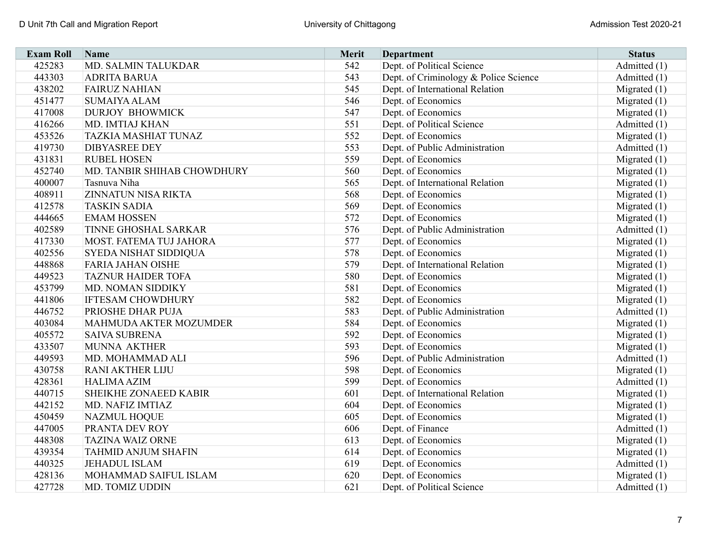| <b>Exam Roll</b> | Name                        | Merit | <b>Department</b>                     | <b>Status</b>  |
|------------------|-----------------------------|-------|---------------------------------------|----------------|
| 425283           | MD. SALMIN TALUKDAR         | 542   | Dept. of Political Science            | Admitted (1)   |
| 443303           | <b>ADRITA BARUA</b>         | 543   | Dept. of Criminology & Police Science | Admitted (1)   |
| 438202           | <b>FAIRUZ NAHIAN</b>        | 545   | Dept. of International Relation       | Migrated $(1)$ |
| 451477           | <b>SUMAIYA ALAM</b>         | 546   | Dept. of Economics                    | Migrated $(1)$ |
| 417008           | <b>DURJOY BHOWMICK</b>      | 547   | Dept. of Economics                    | Migrated $(1)$ |
| 416266           | MD. IMTIAJ KHAN             | 551   | Dept. of Political Science            | Admitted (1)   |
| 453526           | TAZKIA MASHIAT TUNAZ        | 552   | Dept. of Economics                    | Migrated $(1)$ |
| 419730           | <b>DIBYASREE DEY</b>        | 553   | Dept. of Public Administration        | Admitted (1)   |
| 431831           | <b>RUBEL HOSEN</b>          | 559   | Dept. of Economics                    | Migrated $(1)$ |
| 452740           | MD. TANBIR SHIHAB CHOWDHURY | 560   | Dept. of Economics                    | Migrated $(1)$ |
| 400007           | Tasnuva Niha                | 565   | Dept. of International Relation       | Migrated $(1)$ |
| 408911           | ZINNATUN NISA RIKTA         | 568   | Dept. of Economics                    | Migrated $(1)$ |
| 412578           | <b>TASKIN SADIA</b>         | 569   | Dept. of Economics                    | Migrated (1)   |
| 444665           | <b>EMAM HOSSEN</b>          | 572   | Dept. of Economics                    | Migrated $(1)$ |
| 402589           | TINNE GHOSHAL SARKAR        | 576   | Dept. of Public Administration        | Admitted (1)   |
| 417330           | MOST. FATEMA TUJ JAHORA     | 577   | Dept. of Economics                    | Migrated $(1)$ |
| 402556           | SYEDA NISHAT SIDDIQUA       | 578   | Dept. of Economics                    | Migrated $(1)$ |
| 448868           | <b>FARIA JAHAN OISHE</b>    | 579   | Dept. of International Relation       | Migrated $(1)$ |
| 449523           | <b>TAZNUR HAIDER TOFA</b>   | 580   | Dept. of Economics                    | Migrated $(1)$ |
| 453799           | MD. NOMAN SIDDIKY           | 581   | Dept. of Economics                    | Migrated $(1)$ |
| 441806           | <b>IFTESAM CHOWDHURY</b>    | 582   | Dept. of Economics                    | Migrated $(1)$ |
| 446752           | PRIOSHE DHAR PUJA           | 583   | Dept. of Public Administration        | Admitted (1)   |
| 403084           | MAHMUDA AKTER MOZUMDER      | 584   | Dept. of Economics                    | Migrated $(1)$ |
| 405572           | <b>SAIVA SUBRENA</b>        | 592   | Dept. of Economics                    | Migrated $(1)$ |
| 433507           | MUNNA AKTHER                | 593   | Dept. of Economics                    | Migrated $(1)$ |
| 449593           | MD. MOHAMMAD ALI            | 596   | Dept. of Public Administration        | Admitted (1)   |
| 430758           | <b>RANI AKTHER LIJU</b>     | 598   | Dept. of Economics                    | Migrated $(1)$ |
| 428361           | <b>HALIMA AZIM</b>          | 599   | Dept. of Economics                    | Admitted (1)   |
| 440715           | SHEIKHE ZONAEED KABIR       | 601   | Dept. of International Relation       | Migrated $(1)$ |
| 442152           | MD. NAFIZ IMTIAZ            | 604   | Dept. of Economics                    | Migrated $(1)$ |
| 450459           | <b>NAZMUL HOQUE</b>         | 605   | Dept. of Economics                    | Migrated $(1)$ |
| 447005           | PRANTA DEV ROY              | 606   | Dept. of Finance                      | Admitted (1)   |
| 448308           | <b>TAZINA WAIZ ORNE</b>     | 613   | Dept. of Economics                    | Migrated $(1)$ |
| 439354           | <b>TAHMID ANJUM SHAFIN</b>  | 614   | Dept. of Economics                    | Migrated $(1)$ |
| 440325           | <b>JEHADUL ISLAM</b>        | 619   | Dept. of Economics                    | Admitted (1)   |
| 428136           | MOHAMMAD SAIFUL ISLAM       | 620   | Dept. of Economics                    | Migrated (1)   |
| 427728           | MD. TOMIZ UDDIN             | 621   | Dept. of Political Science            | Admitted (1)   |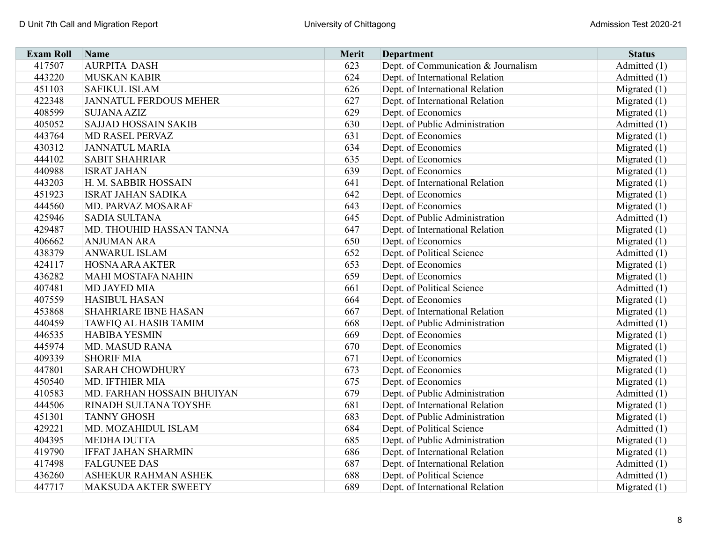| <b>Exam Roll</b> | Name                          | <b>Merit</b> | <b>Department</b>                   | <b>Status</b>  |
|------------------|-------------------------------|--------------|-------------------------------------|----------------|
| 417507           | <b>AURPITA DASH</b>           | 623          | Dept. of Communication & Journalism | Admitted (1)   |
| 443220           | <b>MUSKAN KABIR</b>           | 624          | Dept. of International Relation     | Admitted (1)   |
| 451103           | <b>SAFIKUL ISLAM</b>          | 626          | Dept. of International Relation     | Migrated $(1)$ |
| 422348           | <b>JANNATUL FERDOUS MEHER</b> | 627          | Dept. of International Relation     | Migrated $(1)$ |
| 408599           | <b>SUJANA AZIZ</b>            | 629          | Dept. of Economics                  | Migrated $(1)$ |
| 405052           | <b>SAJJAD HOSSAIN SAKIB</b>   | 630          | Dept. of Public Administration      | Admitted (1)   |
| 443764           | MD RASEL PERVAZ               | 631          | Dept. of Economics                  | Migrated $(1)$ |
| 430312           | <b>JANNATUL MARIA</b>         | 634          | Dept. of Economics                  | Migrated $(1)$ |
| 444102           | <b>SABIT SHAHRIAR</b>         | 635          | Dept. of Economics                  | Migrated $(1)$ |
| 440988           | <b>ISRAT JAHAN</b>            | 639          | Dept. of Economics                  | Migrated $(1)$ |
| 443203           | H. M. SABBIR HOSSAIN          | 641          | Dept. of International Relation     | Migrated $(1)$ |
| 451923           | <b>ISRAT JAHAN SADIKA</b>     | 642          | Dept. of Economics                  | Migrated $(1)$ |
| 444560           | MD. PARVAZ MOSARAF            | 643          | Dept. of Economics                  | Migrated $(1)$ |
| 425946           | <b>SADIA SULTANA</b>          | 645          | Dept. of Public Administration      | Admitted (1)   |
| 429487           | MD. THOUHID HASSAN TANNA      | 647          | Dept. of International Relation     | Migrated $(1)$ |
| 406662           | <b>ANJUMAN ARA</b>            | 650          | Dept. of Economics                  | Migrated $(1)$ |
| 438379           | <b>ANWARUL ISLAM</b>          | 652          | Dept. of Political Science          | Admitted $(1)$ |
| 424117           | <b>HOSNA ARA AKTER</b>        | 653          | Dept. of Economics                  | Migrated $(1)$ |
| 436282           | <b>MAHI MOSTAFA NAHIN</b>     | 659          | Dept. of Economics                  | Migrated $(1)$ |
| 407481           | MD JAYED MIA                  | 661          | Dept. of Political Science          | Admitted (1)   |
| 407559           | <b>HASIBUL HASAN</b>          | 664          | Dept. of Economics                  | Migrated $(1)$ |
| 453868           | <b>SHAHRIARE IBNE HASAN</b>   | 667          | Dept. of International Relation     | Migrated $(1)$ |
| 440459           | TAWFIQ AL HASIB TAMIM         | 668          | Dept. of Public Administration      | Admitted (1)   |
| 446535           | <b>HABIBA YESMIN</b>          | 669          | Dept. of Economics                  | Migrated $(1)$ |
| 445974           | <b>MD. MASUD RANA</b>         | 670          | Dept. of Economics                  | Migrated $(1)$ |
| 409339           | <b>SHORIF MIA</b>             | 671          | Dept. of Economics                  | Migrated $(1)$ |
| 447801           | <b>SARAH CHOWDHURY</b>        | 673          | Dept. of Economics                  | Migrated (1)   |
| 450540           | MD. IFTHIER MIA               | 675          | Dept. of Economics                  | Migrated $(1)$ |
| 410583           | MD. FARHAN HOSSAIN BHUIYAN    | 679          | Dept. of Public Administration      | Admitted (1)   |
| 444506           | RINADH SULTANA TOYSHE         | 681          | Dept. of International Relation     | Migrated $(1)$ |
| 451301           | <b>TANNY GHOSH</b>            | 683          | Dept. of Public Administration      | Migrated $(1)$ |
| 429221           | MD. MOZAHIDUL ISLAM           | 684          | Dept. of Political Science          | Admitted (1)   |
| 404395           | <b>MEDHA DUTTA</b>            | 685          | Dept. of Public Administration      | Migrated $(1)$ |
| 419790           | <b>IFFAT JAHAN SHARMIN</b>    | 686          | Dept. of International Relation     | Migrated $(1)$ |
| 417498           | <b>FALGUNEE DAS</b>           | 687          | Dept. of International Relation     | Admitted (1)   |
| 436260           | ASHEKUR RAHMAN ASHEK          | 688          | Dept. of Political Science          | Admitted (1)   |
| 447717           | <b>MAKSUDA AKTER SWEETY</b>   | 689          | Dept. of International Relation     | Migrated $(1)$ |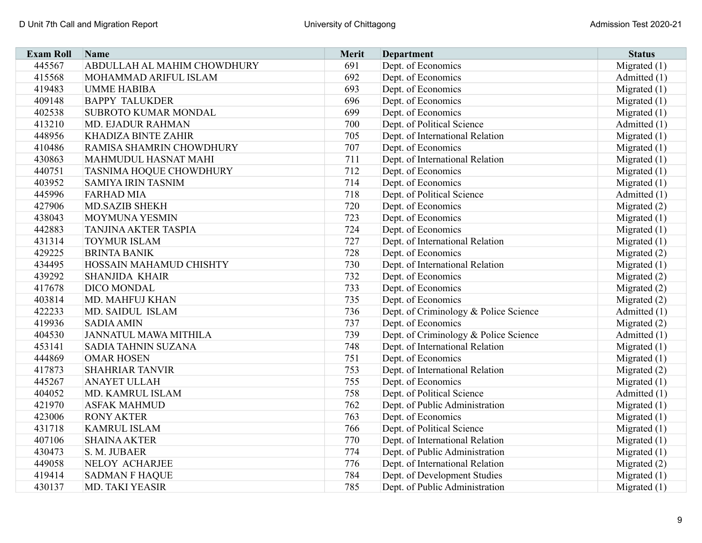| <b>Exam Roll</b> | Name                         | <b>Merit</b> | <b>Department</b>                     | <b>Status</b>  |
|------------------|------------------------------|--------------|---------------------------------------|----------------|
| 445567           | ABDULLAH AL MAHIM CHOWDHURY  | 691          | Dept. of Economics                    | Migrated $(1)$ |
| 415568           | MOHAMMAD ARIFUL ISLAM        | 692          | Dept. of Economics                    | Admitted (1)   |
| 419483           | <b>UMME HABIBA</b>           | 693          | Dept. of Economics                    | Migrated $(1)$ |
| 409148           | <b>BAPPY TALUKDER</b>        | 696          | Dept. of Economics                    | Migrated $(1)$ |
| 402538           | SUBROTO KUMAR MONDAL         | 699          | Dept. of Economics                    | Migrated $(1)$ |
| 413210           | <b>MD. EJADUR RAHMAN</b>     | 700          | Dept. of Political Science            | Admitted (1)   |
| 448956           | KHADIZA BINTE ZAHIR          | 705          | Dept. of International Relation       | Migrated $(1)$ |
| 410486           | RAMISA SHAMRIN CHOWDHURY     | 707          | Dept. of Economics                    | Migrated $(1)$ |
| 430863           | MAHMUDUL HASNAT MAHI         | 711          | Dept. of International Relation       | Migrated $(1)$ |
| 440751           | TASNIMA HOQUE CHOWDHURY      | 712          | Dept. of Economics                    | Migrated $(1)$ |
| 403952           | SAMIYA IRIN TASNIM           | 714          | Dept. of Economics                    | Migrated $(1)$ |
| 445996           | <b>FARHAD MIA</b>            | 718          | Dept. of Political Science            | Admitted (1)   |
| 427906           | <b>MD.SAZIB SHEKH</b>        | 720          | Dept. of Economics                    | Migrated $(2)$ |
| 438043           | MOYMUNA YESMIN               | 723          | Dept. of Economics                    | Migrated $(1)$ |
| 442883           | <b>TANJINA AKTER TASPIA</b>  | 724          | Dept. of Economics                    | Migrated $(1)$ |
| 431314           | <b>TOYMUR ISLAM</b>          | 727          | Dept. of International Relation       | Migrated $(1)$ |
| 429225           | <b>BRINTA BANIK</b>          | 728          | Dept. of Economics                    | Migrated (2)   |
| 434495           | HOSSAIN MAHAMUD CHISHTY      | 730          | Dept. of International Relation       | Migrated $(1)$ |
| 439292           | <b>SHANJIDA KHAIR</b>        | 732          | Dept. of Economics                    | Migrated $(2)$ |
| 417678           | DICO MONDAL                  | 733          | Dept. of Economics                    | Migrated $(2)$ |
| 403814           | MD. MAHFUJ KHAN              | 735          | Dept. of Economics                    | Migrated $(2)$ |
| 422233           | MD. SAIDUL ISLAM             | 736          | Dept. of Criminology & Police Science | Admitted (1)   |
| 419936           | <b>SADIA AMIN</b>            | 737          | Dept. of Economics                    | Migrated $(2)$ |
| 404530           | <b>JANNATUL MAWA MITHILA</b> | 739          | Dept. of Criminology & Police Science | Admitted (1)   |
| 453141           | SADIA TAHNIN SUZANA          | 748          | Dept. of International Relation       | Migrated $(1)$ |
| 444869           | <b>OMAR HOSEN</b>            | 751          | Dept. of Economics                    | Migrated $(1)$ |
| 417873           | <b>SHAHRIAR TANVIR</b>       | 753          | Dept. of International Relation       | Migrated (2)   |
| 445267           | <b>ANAYET ULLAH</b>          | 755          | Dept. of Economics                    | Migrated $(1)$ |
| 404052           | MD. KAMRUL ISLAM             | 758          | Dept. of Political Science            | Admitted (1)   |
| 421970           | <b>ASFAK MAHMUD</b>          | 762          | Dept. of Public Administration        | Migrated $(1)$ |
| 423006           | <b>RONY AKTER</b>            | 763          | Dept. of Economics                    | Migrated $(1)$ |
| 431718           | <b>KAMRUL ISLAM</b>          | 766          | Dept. of Political Science            | Migrated $(1)$ |
| 407106           | <b>SHAINA AKTER</b>          | 770          | Dept. of International Relation       | Migrated $(1)$ |
| 430473           | S. M. JUBAER                 | 774          | Dept. of Public Administration        | Migrated $(1)$ |
| 449058           | NELOY ACHARJEE               | 776          | Dept. of International Relation       | Migrated (2)   |
| 419414           | <b>SADMAN F HAQUE</b>        | 784          | Dept. of Development Studies          | Migrated $(1)$ |
| 430137           | MD. TAKI YEASIR              | 785          | Dept. of Public Administration        | Migrated $(1)$ |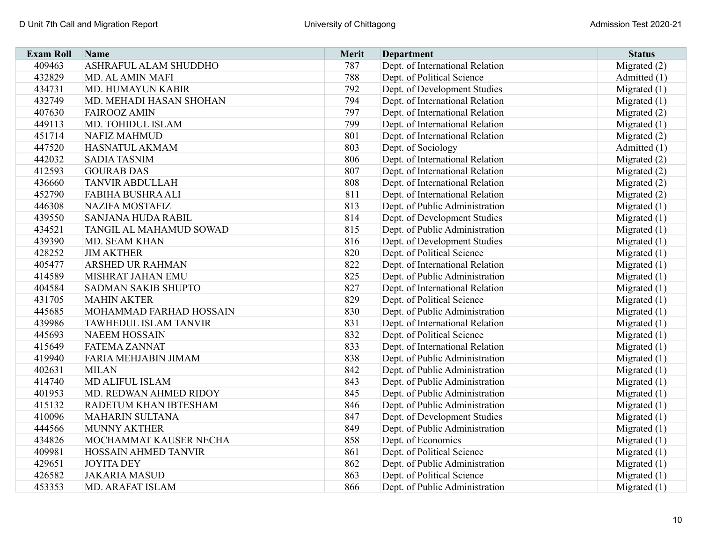| <b>Exam Roll</b> | Name                      | <b>Merit</b> | <b>Department</b>               | <b>Status</b>  |
|------------------|---------------------------|--------------|---------------------------------|----------------|
| 409463           | ASHRAFUL ALAM SHUDDHO     | 787          | Dept. of International Relation | Migrated $(2)$ |
| 432829           | MD. AL AMIN MAFI          | 788          | Dept. of Political Science      | Admitted (1)   |
| 434731           | MD. HUMAYUN KABIR         | 792          | Dept. of Development Studies    | Migrated $(1)$ |
| 432749           | MD. MEHADI HASAN SHOHAN   | 794          | Dept. of International Relation | Migrated $(1)$ |
| 407630           | <b>FAIROOZ AMIN</b>       | 797          | Dept. of International Relation | Migrated $(2)$ |
| 449113           | MD. TOHIDUL ISLAM         | 799          | Dept. of International Relation | Migrated $(1)$ |
| 451714           | <b>NAFIZ MAHMUD</b>       | 801          | Dept. of International Relation | Migrated (2)   |
| 447520           | HASNATUL AKMAM            | 803          | Dept. of Sociology              | Admitted (1)   |
| 442032           | <b>SADIA TASNIM</b>       | 806          | Dept. of International Relation | Migrated $(2)$ |
| 412593           | <b>GOURAB DAS</b>         | 807          | Dept. of International Relation | Migrated (2)   |
| 436660           | <b>TANVIR ABDULLAH</b>    | 808          | Dept. of International Relation | Migrated $(2)$ |
| 452790           | FABIHA BUSHRA ALI         | 811          | Dept. of International Relation | Migrated (2)   |
| 446308           | <b>NAZIFA MOSTAFIZ</b>    | 813          | Dept. of Public Administration  | Migrated $(1)$ |
| 439550           | <b>SANJANA HUDA RABIL</b> | 814          | Dept. of Development Studies    | Migrated $(1)$ |
| 434521           | TANGIL AL MAHAMUD SOWAD   | 815          | Dept. of Public Administration  | Migrated $(1)$ |
| 439390           | MD. SEAM KHAN             | 816          | Dept. of Development Studies    | Migrated $(1)$ |
| 428252           | <b>JIM AKTHER</b>         | 820          | Dept. of Political Science      | Migrated $(1)$ |
| 405477           | ARSHED UR RAHMAN          | 822          | Dept. of International Relation | Migrated $(1)$ |
| 414589           | MISHRAT JAHAN EMU         | 825          | Dept. of Public Administration  | Migrated $(1)$ |
| 404584           | SADMAN SAKIB SHUPTO       | 827          | Dept. of International Relation | Migrated $(1)$ |
| 431705           | <b>MAHIN AKTER</b>        | 829          | Dept. of Political Science      | Migrated $(1)$ |
| 445685           | MOHAMMAD FARHAD HOSSAIN   | 830          | Dept. of Public Administration  | Migrated $(1)$ |
| 439986           | TAWHEDUL ISLAM TANVIR     | 831          | Dept. of International Relation | Migrated (1)   |
| 445693           | <b>NAEEM HOSSAIN</b>      | 832          | Dept. of Political Science      | Migrated $(1)$ |
| 415649           | <b>FATEMA ZANNAT</b>      | 833          | Dept. of International Relation | Migrated $(1)$ |
| 419940           | FARIA MEHJABIN JIMAM      | 838          | Dept. of Public Administration  | Migrated $(1)$ |
| 402631           | <b>MILAN</b>              | 842          | Dept. of Public Administration  | Migrated $(1)$ |
| 414740           | MD ALIFUL ISLAM           | 843          | Dept. of Public Administration  | Migrated $(1)$ |
| 401953           | MD. REDWAN AHMED RIDOY    | 845          | Dept. of Public Administration  | Migrated $(1)$ |
| 415132           | RADETUM KHAN IBTESHAM     | 846          | Dept. of Public Administration  | Migrated $(1)$ |
| 410096           | <b>MAHARIN SULTANA</b>    | 847          | Dept. of Development Studies    | Migrated $(1)$ |
| 444566           | <b>MUNNY AKTHER</b>       | 849          | Dept. of Public Administration  | Migrated $(1)$ |
| 434826           | MOCHAMMAT KAUSER NECHA    | 858          | Dept. of Economics              | Migrated $(1)$ |
| 409981           | HOSSAIN AHMED TANVIR      | 861          | Dept. of Political Science      | Migrated $(1)$ |
| 429651           | <b>JOYITA DEY</b>         | 862          | Dept. of Public Administration  | Migrated $(1)$ |
| 426582           | <b>JAKARIA MASUD</b>      | 863          | Dept. of Political Science      | Migrated $(1)$ |
| 453353           | MD. ARAFAT ISLAM          | 866          | Dept. of Public Administration  | Migrated $(1)$ |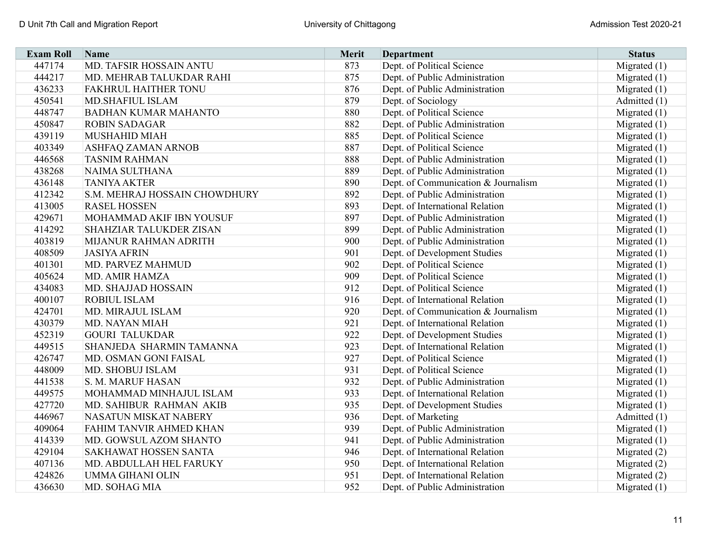| <b>Exam Roll</b> | Name                          | <b>Merit</b> | <b>Department</b>                   | <b>Status</b>  |
|------------------|-------------------------------|--------------|-------------------------------------|----------------|
| 447174           | MD. TAFSIR HOSSAIN ANTU       | 873          | Dept. of Political Science          | Migrated $(1)$ |
| 444217           | MD. MEHRAB TALUKDAR RAHI      | 875          | Dept. of Public Administration      | Migrated $(1)$ |
| 436233           | FAKHRUL HAITHER TONU          | 876          | Dept. of Public Administration      | Migrated $(1)$ |
| 450541           | <b>MD.SHAFIUL ISLAM</b>       | 879          | Dept. of Sociology                  | Admitted (1)   |
| 448747           | <b>BADHAN KUMAR MAHANTO</b>   | 880          | Dept. of Political Science          | Migrated $(1)$ |
| 450847           | <b>ROBIN SADAGAR</b>          | 882          | Dept. of Public Administration      | Migrated $(1)$ |
| 439119           | <b>MUSHAHID MIAH</b>          | 885          | Dept. of Political Science          | Migrated $(1)$ |
| 403349           | ASHFAQ ZAMAN ARNOB            | 887          | Dept. of Political Science          | Migrated $(1)$ |
| 446568           | <b>TASNIM RAHMAN</b>          | 888          | Dept. of Public Administration      | Migrated $(1)$ |
| 438268           | NAIMA SULTHANA                | 889          | Dept. of Public Administration      | Migrated $(1)$ |
| 436148           | <b>TANIYA AKTER</b>           | 890          | Dept. of Communication & Journalism | Migrated $(1)$ |
| 412342           | S.M. MEHRAJ HOSSAIN CHOWDHURY | 892          | Dept. of Public Administration      | Migrated $(1)$ |
| 413005           | <b>RASEL HOSSEN</b>           | 893          | Dept. of International Relation     | Migrated $(1)$ |
| 429671           | MOHAMMAD AKIF IBN YOUSUF      | 897          | Dept. of Public Administration      | Migrated $(1)$ |
| 414292           | SHAHZIAR TALUKDER ZISAN       | 899          | Dept. of Public Administration      | Migrated $(1)$ |
| 403819           | MIJANUR RAHMAN ADRITH         | 900          | Dept. of Public Administration      | Migrated $(1)$ |
| 408509           | <b>JASIYA AFRIN</b>           | 901          | Dept. of Development Studies        | Migrated $(1)$ |
| 401301           | MD. PARVEZ MAHMUD             | 902          | Dept. of Political Science          | Migrated $(1)$ |
| 405624           | <b>MD. AMIR HAMZA</b>         | 909          | Dept. of Political Science          | Migrated $(1)$ |
| 434083           | MD. SHAJJAD HOSSAIN           | 912          | Dept. of Political Science          | Migrated $(1)$ |
| 400107           | <b>ROBIUL ISLAM</b>           | 916          | Dept. of International Relation     | Migrated $(1)$ |
| 424701           | MD. MIRAJUL ISLAM             | 920          | Dept. of Communication & Journalism | Migrated $(1)$ |
| 430379           | MD. NAYAN MIAH                | 921          | Dept. of International Relation     | Migrated $(1)$ |
| 452319           | <b>GOURI TALUKDAR</b>         | 922          | Dept. of Development Studies        | Migrated $(1)$ |
| 449515           | SHANJEDA SHARMIN TAMANNA      | 923          | Dept. of International Relation     | Migrated (1)   |
| 426747           | MD. OSMAN GONI FAISAL         | 927          | Dept. of Political Science          | Migrated $(1)$ |
| 448009           | MD. SHOBUJ ISLAM              | 931          | Dept. of Political Science          | Migrated $(1)$ |
| 441538           | S. M. MARUF HASAN             | 932          | Dept. of Public Administration      | Migrated $(1)$ |
| 449575           | MOHAMMAD MINHAJUL ISLAM       | 933          | Dept. of International Relation     | Migrated $(1)$ |
| 427720           | MD. SAHIBUR RAHMAN AKIB       | 935          | Dept. of Development Studies        | Migrated $(1)$ |
| 446967           | NASATUN MISKAT NABERY         | 936          | Dept. of Marketing                  | Admitted (1)   |
| 409064           | FAHIM TANVIR AHMED KHAN       | 939          | Dept. of Public Administration      | Migrated $(1)$ |
| 414339           | MD. GOWSUL AZOM SHANTO        | 941          | Dept. of Public Administration      | Migrated $(1)$ |
| 429104           | SAKHAWAT HOSSEN SANTA         | 946          | Dept. of International Relation     | Migrated $(2)$ |
| 407136           | MD. ABDULLAH HEL FARUKY       | 950          | Dept. of International Relation     | Migrated (2)   |
| 424826           | <b>UMMA GIHANI OLIN</b>       | 951          | Dept. of International Relation     | Migrated (2)   |
| 436630           | MD. SOHAG MIA                 | 952          | Dept. of Public Administration      | Migrated $(1)$ |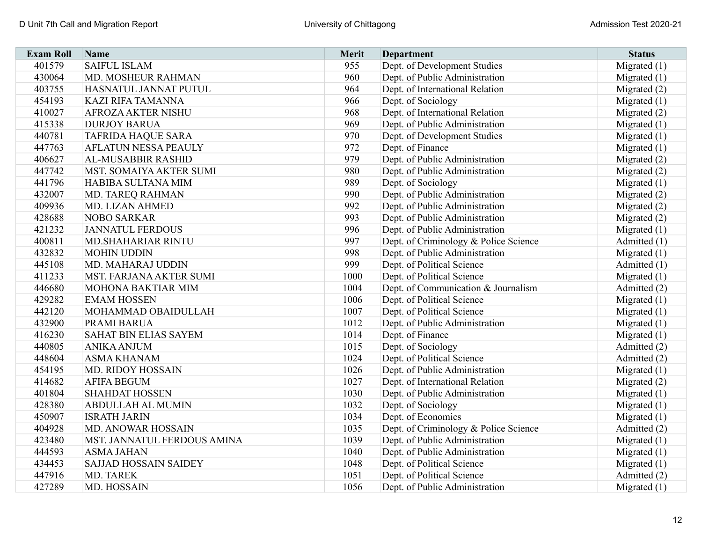| <b>Exam Roll</b> | Name                        | Merit | <b>Department</b>                     | <b>Status</b>  |
|------------------|-----------------------------|-------|---------------------------------------|----------------|
| 401579           | <b>SAIFUL ISLAM</b>         | 955   | Dept. of Development Studies          | Migrated (1)   |
| 430064           | MD. MOSHEUR RAHMAN          | 960   | Dept. of Public Administration        | Migrated $(1)$ |
| 403755           | HASNATUL JANNAT PUTUL       | 964   | Dept. of International Relation       | Migrated $(2)$ |
| 454193           | <b>KAZI RIFA TAMANNA</b>    | 966   | Dept. of Sociology                    | Migrated $(1)$ |
| 410027           | <b>AFROZA AKTER NISHU</b>   | 968   | Dept. of International Relation       | Migrated $(2)$ |
| 415338           | <b>DURJOY BARUA</b>         | 969   | Dept. of Public Administration        | Migrated $(1)$ |
| 440781           | <b>TAFRIDA HAQUE SARA</b>   | 970   | Dept. of Development Studies          | Migrated (1)   |
| 447763           | AFLATUN NESSA PEAULY        | 972   | Dept. of Finance                      | Migrated $(1)$ |
| 406627           | AL-MUSABBIR RASHID          | 979   | Dept. of Public Administration        | Migrated $(2)$ |
| 447742           | MST. SOMAIYA AKTER SUMI     | 980   | Dept. of Public Administration        | Migrated $(2)$ |
| 441796           | HABIBA SULTANA MIM          | 989   | Dept. of Sociology                    | Migrated $(1)$ |
| 432007           | MD. TAREQ RAHMAN            | 990   | Dept. of Public Administration        | Migrated $(2)$ |
| 409936           | MD. LIZAN AHMED             | 992   | Dept. of Public Administration        | Migrated $(2)$ |
| 428688           | <b>NOBO SARKAR</b>          | 993   | Dept. of Public Administration        | Migrated $(2)$ |
| 421232           | <b>JANNATUL FERDOUS</b>     | 996   | Dept. of Public Administration        | Migrated $(1)$ |
| 400811           | <b>MD.SHAHARIAR RINTU</b>   | 997   | Dept. of Criminology & Police Science | Admitted $(1)$ |
| 432832           | <b>MOHIN UDDIN</b>          | 998   | Dept. of Public Administration        | Migrated $(1)$ |
| 445108           | MD. MAHARAJ UDDIN           | 999   | Dept. of Political Science            | Admitted (1)   |
| 411233           | MST. FARJANA AKTER SUMI     | 1000  | Dept. of Political Science            | Migrated $(1)$ |
| 446680           | MOHONA BAKTIAR MIM          | 1004  | Dept. of Communication & Journalism   | Admitted (2)   |
| 429282           | <b>EMAM HOSSEN</b>          | 1006  | Dept. of Political Science            | Migrated $(1)$ |
| 442120           | MOHAMMAD OBAIDULLAH         | 1007  | Dept. of Political Science            | Migrated (1)   |
| 432900           | PRAMI BARUA                 | 1012  | Dept. of Public Administration        | Migrated (1)   |
| 416230           | SAHAT BIN ELIAS SAYEM       | 1014  | Dept. of Finance                      | Migrated (1)   |
| 440805           | <b>ANIKA ANJUM</b>          | 1015  | Dept. of Sociology                    | Admitted (2)   |
| 448604           | <b>ASMA KHANAM</b>          | 1024  | Dept. of Political Science            | Admitted (2)   |
| 454195           | <b>MD. RIDOY HOSSAIN</b>    | 1026  | Dept. of Public Administration        | Migrated $(1)$ |
| 414682           | <b>AFIFA BEGUM</b>          | 1027  | Dept. of International Relation       | Migrated (2)   |
| 401804           | <b>SHAHDAT HOSSEN</b>       | 1030  | Dept. of Public Administration        | Migrated $(1)$ |
| 428380           | <b>ABDULLAH AL MUMIN</b>    | 1032  | Dept. of Sociology                    | Migrated $(1)$ |
| 450907           | <b>ISRATH JARIN</b>         | 1034  | Dept. of Economics                    | Migrated $(1)$ |
| 404928           | MD. ANOWAR HOSSAIN          | 1035  | Dept. of Criminology & Police Science | Admitted (2)   |
| 423480           | MST. JANNATUL FERDOUS AMINA | 1039  | Dept. of Public Administration        | Migrated $(1)$ |
| 444593           | <b>ASMA JAHAN</b>           | 1040  | Dept. of Public Administration        | Migrated $(1)$ |
| 434453           | SAJJAD HOSSAIN SAIDEY       | 1048  | Dept. of Political Science            | Migrated $(1)$ |
| 447916           | MD. TAREK                   | 1051  | Dept. of Political Science            | Admitted (2)   |
| 427289           | MD. HOSSAIN                 | 1056  | Dept. of Public Administration        | Migrated $(1)$ |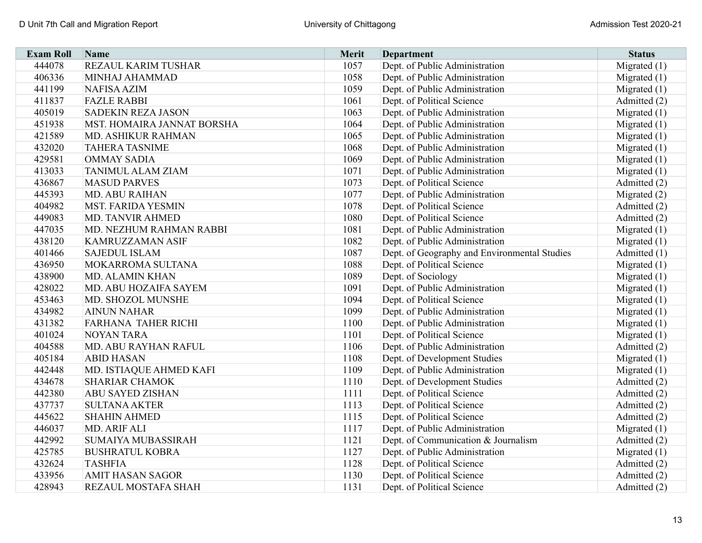| <b>Exam Roll</b> | Name                       | Merit | <b>Department</b>                            | <b>Status</b>  |
|------------------|----------------------------|-------|----------------------------------------------|----------------|
| 444078           | REZAUL KARIM TUSHAR        | 1057  | Dept. of Public Administration               | Migrated $(1)$ |
| 406336           | MINHAJ AHAMMAD             | 1058  | Dept. of Public Administration               | Migrated $(1)$ |
| 441199           | <b>NAFISA AZIM</b>         | 1059  | Dept. of Public Administration               | Migrated $(1)$ |
| 411837           | <b>FAZLE RABBI</b>         | 1061  | Dept. of Political Science                   | Admitted (2)   |
| 405019           | <b>SADEKIN REZA JASON</b>  | 1063  | Dept. of Public Administration               | Migrated $(1)$ |
| 451938           | MST. HOMAIRA JANNAT BORSHA | 1064  | Dept. of Public Administration               | Migrated $(1)$ |
| 421589           | MD. ASHIKUR RAHMAN         | 1065  | Dept. of Public Administration               | Migrated $(1)$ |
| 432020           | <b>TAHERA TASNIME</b>      | 1068  | Dept. of Public Administration               | Migrated $(1)$ |
| 429581           | <b>OMMAY SADIA</b>         | 1069  | Dept. of Public Administration               | Migrated $(1)$ |
| 413033           | <b>TANIMUL ALAM ZIAM</b>   | 1071  | Dept. of Public Administration               | Migrated $(1)$ |
| 436867           | <b>MASUD PARVES</b>        | 1073  | Dept. of Political Science                   | Admitted (2)   |
| 445393           | MD. ABU RAIHAN             | 1077  | Dept. of Public Administration               | Migrated $(2)$ |
| 404982           | <b>MST. FARIDA YESMIN</b>  | 1078  | Dept. of Political Science                   | Admitted (2)   |
| 449083           | <b>MD. TANVIR AHMED</b>    | 1080  | Dept. of Political Science                   | Admitted (2)   |
| 447035           | MD. NEZHUM RAHMAN RABBI    | 1081  | Dept. of Public Administration               | Migrated $(1)$ |
| 438120           | <b>KAMRUZZAMAN ASIF</b>    | 1082  | Dept. of Public Administration               | Migrated $(1)$ |
| 401466           | <b>SAJEDUL ISLAM</b>       | 1087  | Dept. of Geography and Environmental Studies | Admitted (1)   |
| 436950           | MOKARROMA SULTANA          | 1088  | Dept. of Political Science                   | Migrated $(1)$ |
| 438900           | <b>MD. ALAMIN KHAN</b>     | 1089  | Dept. of Sociology                           | Migrated $(1)$ |
| 428022           | MD. ABU HOZAIFA SAYEM      | 1091  | Dept. of Public Administration               | Migrated $(1)$ |
| 453463           | MD. SHOZOL MUNSHE          | 1094  | Dept. of Political Science                   | Migrated $(1)$ |
| 434982           | <b>AINUN NAHAR</b>         | 1099  | Dept. of Public Administration               | Migrated (1)   |
| 431382           | FARHANA TAHER RICHI        | 1100  | Dept. of Public Administration               | Migrated (1)   |
| 401024           | <b>NOYAN TARA</b>          | 1101  | Dept. of Political Science                   | Migrated (1)   |
| 404588           | MD. ABU RAYHAN RAFUL       | 1106  | Dept. of Public Administration               | Admitted (2)   |
| 405184           | <b>ABID HASAN</b>          | 1108  | Dept. of Development Studies                 | Migrated (1)   |
| 442448           | MD. ISTIAQUE AHMED KAFI    | 1109  | Dept. of Public Administration               | Migrated $(1)$ |
| 434678           | <b>SHARIAR CHAMOK</b>      | 1110  | Dept. of Development Studies                 | Admitted (2)   |
| 442380           | ABU SAYED ZISHAN           | 1111  | Dept. of Political Science                   | Admitted (2)   |
| 437737           | <b>SULTANA AKTER</b>       | 1113  | Dept. of Political Science                   | Admitted (2)   |
| 445622           | <b>SHAHIN AHMED</b>        | 1115  | Dept. of Political Science                   | Admitted (2)   |
| 446037           | MD. ARIF ALI               | 1117  | Dept. of Public Administration               | Migrated $(1)$ |
| 442992           | <b>SUMAIYA MUBASSIRAH</b>  | 1121  | Dept. of Communication & Journalism          | Admitted (2)   |
| 425785           | <b>BUSHRATUL KOBRA</b>     | 1127  | Dept. of Public Administration               | Migrated $(1)$ |
| 432624           | <b>TASHFIA</b>             | 1128  | Dept. of Political Science                   | Admitted (2)   |
| 433956           | <b>AMIT HASAN SAGOR</b>    | 1130  | Dept. of Political Science                   | Admitted (2)   |
| 428943           | REZAUL MOSTAFA SHAH        | 1131  | Dept. of Political Science                   | Admitted (2)   |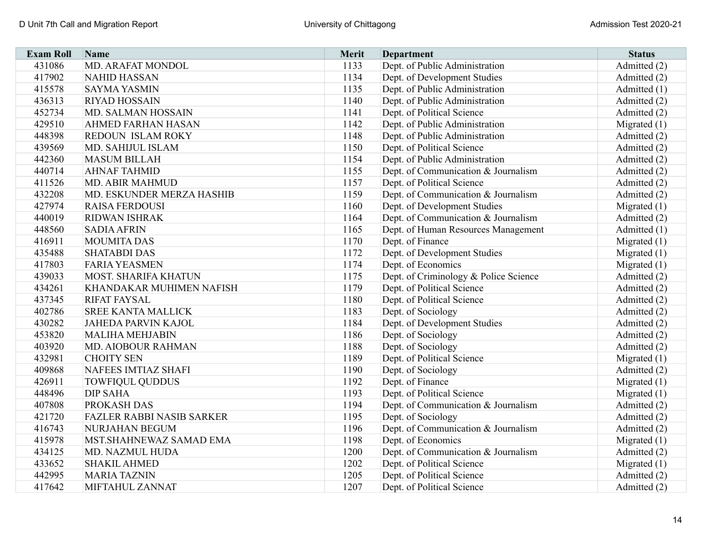| <b>Exam Roll</b> | Name                             | Merit | <b>Department</b>                     | <b>Status</b>  |
|------------------|----------------------------------|-------|---------------------------------------|----------------|
| 431086           | <b>MD. ARAFAT MONDOL</b>         | 1133  | Dept. of Public Administration        | Admitted (2)   |
| 417902           | <b>NAHID HASSAN</b>              | 1134  | Dept. of Development Studies          | Admitted (2)   |
| 415578           | <b>SAYMA YASMIN</b>              | 1135  | Dept. of Public Administration        | Admitted (1)   |
| 436313           | <b>RIYAD HOSSAIN</b>             | 1140  | Dept. of Public Administration        | Admitted (2)   |
| 452734           | MD. SALMAN HOSSAIN               | 1141  | Dept. of Political Science            | Admitted (2)   |
| 429510           | <b>AHMED FARHAN HASAN</b>        | 1142  | Dept. of Public Administration        | Migrated $(1)$ |
| 448398           | REDOUN ISLAM ROKY                | 1148  | Dept. of Public Administration        | Admitted (2)   |
| 439569           | MD. SAHIJUL ISLAM                | 1150  | Dept. of Political Science            | Admitted (2)   |
| 442360           | <b>MASUM BILLAH</b>              | 1154  | Dept. of Public Administration        | Admitted (2)   |
| 440714           | <b>AHNAF TAHMID</b>              | 1155  | Dept. of Communication & Journalism   | Admitted (2)   |
| 411526           | <b>MD. ABIR MAHMUD</b>           | 1157  | Dept. of Political Science            | Admitted (2)   |
| 432208           | MD. ESKUNDER MERZA HASHIB        | 1159  | Dept. of Communication & Journalism   | Admitted (2)   |
| 427974           | <b>RAISA FERDOUSI</b>            | 1160  | Dept. of Development Studies          | Migrated $(1)$ |
| 440019           | <b>RIDWAN ISHRAK</b>             | 1164  | Dept. of Communication & Journalism   | Admitted (2)   |
| 448560           | <b>SADIA AFRIN</b>               | 1165  | Dept. of Human Resources Management   | Admitted (1)   |
| 416911           | <b>MOUMITA DAS</b>               | 1170  | Dept. of Finance                      | Migrated $(1)$ |
| 435488           | <b>SHATABDI DAS</b>              | 1172  | Dept. of Development Studies          | Migrated $(1)$ |
| 417803           | <b>FARIA YEASMEN</b>             | 1174  | Dept. of Economics                    | Migrated $(1)$ |
| 439033           | <b>MOST. SHARIFA KHATUN</b>      | 1175  | Dept. of Criminology & Police Science | Admitted (2)   |
| 434261           | KHANDAKAR MUHIMEN NAFISH         | 1179  | Dept. of Political Science            | Admitted (2)   |
| 437345           | <b>RIFAT FAYSAL</b>              | 1180  | Dept. of Political Science            | Admitted (2)   |
| 402786           | <b>SREE KANTA MALLICK</b>        | 1183  | Dept. of Sociology                    | Admitted (2)   |
| 430282           | <b>JAHEDA PARVIN KAJOL</b>       | 1184  | Dept. of Development Studies          | Admitted (2)   |
| 453820           | <b>MALIHA MEHJABIN</b>           | 1186  | Dept. of Sociology                    | Admitted (2)   |
| 403920           | MD. AIOBOUR RAHMAN               | 1188  | Dept. of Sociology                    | Admitted (2)   |
| 432981           | <b>CHOITY SEN</b>                | 1189  | Dept. of Political Science            | Migrated $(1)$ |
| 409868           | NAFEES IMTIAZ SHAFI              | 1190  | Dept. of Sociology                    | Admitted (2)   |
| 426911           | <b>TOWFIQUL QUDDUS</b>           | 1192  | Dept. of Finance                      | Migrated $(1)$ |
| 448496           | <b>DIP SAHA</b>                  | 1193  | Dept. of Political Science            | Migrated $(1)$ |
| 407808           | PROKASH DAS                      | 1194  | Dept. of Communication & Journalism   | Admitted (2)   |
| 421720           | <b>FAZLER RABBI NASIB SARKER</b> | 1195  | Dept. of Sociology                    | Admitted (2)   |
| 416743           | NURJAHAN BEGUM                   | 1196  | Dept. of Communication & Journalism   | Admitted (2)   |
| 415978           | MST.SHAHNEWAZ SAMAD EMA          | 1198  | Dept. of Economics                    | Migrated $(1)$ |
| 434125           | MD. NAZMUL HUDA                  | 1200  | Dept. of Communication & Journalism   | Admitted (2)   |
| 433652           | <b>SHAKIL AHMED</b>              | 1202  | Dept. of Political Science            | Migrated $(1)$ |
| 442995           | <b>MARIA TAZNIN</b>              | 1205  | Dept. of Political Science            | Admitted (2)   |
| 417642           | MIFTAHUL ZANNAT                  | 1207  | Dept. of Political Science            | Admitted (2)   |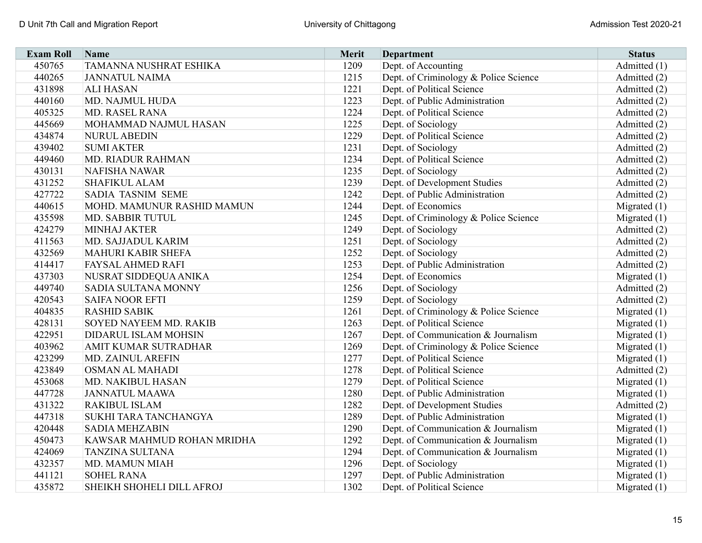| <b>Exam Roll</b> | Name                       | Merit | <b>Department</b>                     | <b>Status</b>  |
|------------------|----------------------------|-------|---------------------------------------|----------------|
| 450765           | TAMANNA NUSHRAT ESHIKA     | 1209  | Dept. of Accounting                   | Admitted (1)   |
| 440265           | <b>JANNATUL NAIMA</b>      | 1215  | Dept. of Criminology & Police Science | Admitted (2)   |
| 431898           | <b>ALI HASAN</b>           | 1221  | Dept. of Political Science            | Admitted (2)   |
| 440160           | MD. NAJMUL HUDA            | 1223  | Dept. of Public Administration        | Admitted (2)   |
| 405325           | MD. RASEL RANA             | 1224  | Dept. of Political Science            | Admitted (2)   |
| 445669           | MOHAMMAD NAJMUL HASAN      | 1225  | Dept. of Sociology                    | Admitted (2)   |
| 434874           | <b>NURUL ABEDIN</b>        | 1229  | Dept. of Political Science            | Admitted (2)   |
| 439402           | <b>SUMI AKTER</b>          | 1231  | Dept. of Sociology                    | Admitted (2)   |
| 449460           | MD. RIADUR RAHMAN          | 1234  | Dept. of Political Science            | Admitted (2)   |
| 430131           | <b>NAFISHA NAWAR</b>       | 1235  | Dept. of Sociology                    | Admitted (2)   |
| 431252           | <b>SHAFIKUL ALAM</b>       | 1239  | Dept. of Development Studies          | Admitted (2)   |
| 427722           | SADIA TASNIM SEME          | 1242  | Dept. of Public Administration        | Admitted (2)   |
| 440615           | MOHD. MAMUNUR RASHID MAMUN | 1244  | Dept. of Economics                    | Migrated $(1)$ |
| 435598           | MD. SABBIR TUTUL           | 1245  | Dept. of Criminology & Police Science | Migrated $(1)$ |
| 424279           | <b>MINHAJ AKTER</b>        | 1249  | Dept. of Sociology                    | Admitted (2)   |
| 411563           | MD. SAJJADUL KARIM         | 1251  | Dept. of Sociology                    | Admitted (2)   |
| 432569           | <b>MAHURI KABIR SHEFA</b>  | 1252  | Dept. of Sociology                    | Admitted (2)   |
| 414417           | <b>FAYSAL AHMED RAFI</b>   | 1253  | Dept. of Public Administration        | Admitted (2)   |
| 437303           | NUSRAT SIDDEQUA ANIKA      | 1254  | Dept. of Economics                    | Migrated $(1)$ |
| 449740           | SADIA SULTANA MONNY        | 1256  | Dept. of Sociology                    | Admitted (2)   |
| 420543           | <b>SAIFA NOOR EFTI</b>     | 1259  | Dept. of Sociology                    | Admitted (2)   |
| 404835           | <b>RASHID SABIK</b>        | 1261  | Dept. of Criminology & Police Science | Migrated $(1)$ |
| 428131           | SOYED NAYEEM MD. RAKIB     | 1263  | Dept. of Political Science            | Migrated $(1)$ |
| 422951           | DIDARUL ISLAM MOHSIN       | 1267  | Dept. of Communication & Journalism   | Migrated $(1)$ |
| 403962           | AMIT KUMAR SUTRADHAR       | 1269  | Dept. of Criminology & Police Science | Migrated $(1)$ |
| 423299           | MD. ZAINUL AREFIN          | 1277  | Dept. of Political Science            | Migrated $(1)$ |
| 423849           | <b>OSMAN AL MAHADI</b>     | 1278  | Dept. of Political Science            | Admitted (2)   |
| 453068           | MD. NAKIBUL HASAN          | 1279  | Dept. of Political Science            | Migrated $(1)$ |
| 447728           | <b>JANNATUL MAAWA</b>      | 1280  | Dept. of Public Administration        | Migrated $(1)$ |
| 431322           | <b>RAKIBUL ISLAM</b>       | 1282  | Dept. of Development Studies          | Admitted (2)   |
| 447318           | SUKHI TARA TANCHANGYA      | 1289  | Dept. of Public Administration        | Migrated $(1)$ |
| 420448           | <b>SADIA MEHZABIN</b>      | 1290  | Dept. of Communication & Journalism   | Migrated $(1)$ |
| 450473           | KAWSAR MAHMUD ROHAN MRIDHA | 1292  | Dept. of Communication & Journalism   | Migrated $(1)$ |
| 424069           | <b>TANZINA SULTANA</b>     | 1294  | Dept. of Communication & Journalism   | Migrated $(1)$ |
| 432357           | <b>MD. MAMUN MIAH</b>      | 1296  | Dept. of Sociology                    | Migrated $(1)$ |
| 441121           | <b>SOHEL RANA</b>          | 1297  | Dept. of Public Administration        | Migrated $(1)$ |
| 435872           | SHEIKH SHOHELI DILL AFROJ  | 1302  | Dept. of Political Science            | Migrated $(1)$ |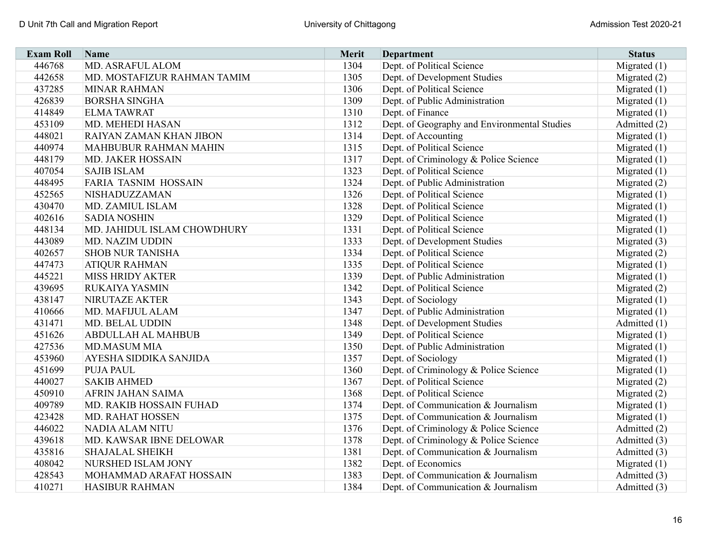| <b>Exam Roll</b> | Name                        | Merit | <b>Department</b>                            | <b>Status</b>  |
|------------------|-----------------------------|-------|----------------------------------------------|----------------|
| 446768           | MD. ASRAFUL ALOM            | 1304  | Dept. of Political Science                   | Migrated $(1)$ |
| 442658           | MD. MOSTAFIZUR RAHMAN TAMIM | 1305  | Dept. of Development Studies                 | Migrated (2)   |
| 437285           | <b>MINAR RAHMAN</b>         | 1306  | Dept. of Political Science                   | Migrated $(1)$ |
| 426839           | <b>BORSHA SINGHA</b>        | 1309  | Dept. of Public Administration               | Migrated $(1)$ |
| 414849           | <b>ELMA TAWRAT</b>          | 1310  | Dept. of Finance                             | Migrated $(1)$ |
| 453109           | MD. MEHEDI HASAN            | 1312  | Dept. of Geography and Environmental Studies | Admitted (2)   |
| 448021           | RAIYAN ZAMAN KHAN JIBON     | 1314  | Dept. of Accounting                          | Migrated $(1)$ |
| 440974           | MAHBUBUR RAHMAN MAHIN       | 1315  | Dept. of Political Science                   | Migrated $(1)$ |
| 448179           | MD. JAKER HOSSAIN           | 1317  | Dept. of Criminology & Police Science        | Migrated $(1)$ |
| 407054           | <b>SAJIB ISLAM</b>          | 1323  | Dept. of Political Science                   | Migrated $(1)$ |
| 448495           | FARIA TASNIM HOSSAIN        | 1324  | Dept. of Public Administration               | Migrated (2)   |
| 452565           | NISHADUZZAMAN               | 1326  | Dept. of Political Science                   | Migrated (1)   |
| 430470           | MD. ZAMIUL ISLAM            | 1328  | Dept. of Political Science                   | Migrated $(1)$ |
| 402616           | <b>SADIA NOSHIN</b>         | 1329  | Dept. of Political Science                   | Migrated $(1)$ |
| 448134           | MD. JAHIDUL ISLAM CHOWDHURY | 1331  | Dept. of Political Science                   | Migrated $(1)$ |
| 443089           | MD. NAZIM UDDIN             | 1333  | Dept. of Development Studies                 | Migrated $(3)$ |
| 402657           | <b>SHOB NUR TANISHA</b>     | 1334  | Dept. of Political Science                   | Migrated $(2)$ |
| 447473           | <b>ATIQUR RAHMAN</b>        | 1335  | Dept. of Political Science                   | Migrated $(1)$ |
| 445221           | <b>MISS HRIDY AKTER</b>     | 1339  | Dept. of Public Administration               | Migrated $(1)$ |
| 439695           | <b>RUKAIYA YASMIN</b>       | 1342  | Dept. of Political Science                   | Migrated $(2)$ |
| 438147           | NIRUTAZE AKTER              | 1343  | Dept. of Sociology                           | Migrated $(1)$ |
| 410666           | MD. MAFIJUL ALAM            | 1347  | Dept. of Public Administration               | Migrated $(1)$ |
| 431471           | MD. BELAL UDDIN             | 1348  | Dept. of Development Studies                 | Admitted (1)   |
| 451626           | ABDULLAH AL MAHBUB          | 1349  | Dept. of Political Science                   | Migrated $(1)$ |
| 427536           | <b>MD.MASUM MIA</b>         | 1350  | Dept. of Public Administration               | Migrated $(1)$ |
| 453960           | AYESHA SIDDIKA SANJIDA      | 1357  | Dept. of Sociology                           | Migrated $(1)$ |
| 451699           | <b>PUJA PAUL</b>            | 1360  | Dept. of Criminology & Police Science        | Migrated $(1)$ |
| 440027           | <b>SAKIB AHMED</b>          | 1367  | Dept. of Political Science                   | Migrated (2)   |
| 450910           | AFRIN JAHAN SAIMA           | 1368  | Dept. of Political Science                   | Migrated $(2)$ |
| 409789           | MD. RAKIB HOSSAIN FUHAD     | 1374  | Dept. of Communication & Journalism          | Migrated $(1)$ |
| 423428           | MD. RAHAT HOSSEN            | 1375  | Dept. of Communication & Journalism          | Migrated $(1)$ |
| 446022           | <b>NADIA ALAM NITU</b>      | 1376  | Dept. of Criminology & Police Science        | Admitted (2)   |
| 439618           | MD. KAWSAR IBNE DELOWAR     | 1378  | Dept. of Criminology & Police Science        | Admitted (3)   |
| 435816           | <b>SHAJALAL SHEIKH</b>      | 1381  | Dept. of Communication & Journalism          | Admitted (3)   |
| 408042           | NURSHED ISLAM JONY          | 1382  | Dept. of Economics                           | Migrated $(1)$ |
| 428543           | MOHAMMAD ARAFAT HOSSAIN     | 1383  | Dept. of Communication & Journalism          | Admitted (3)   |
| 410271           | <b>HASIBUR RAHMAN</b>       | 1384  | Dept. of Communication & Journalism          | Admitted (3)   |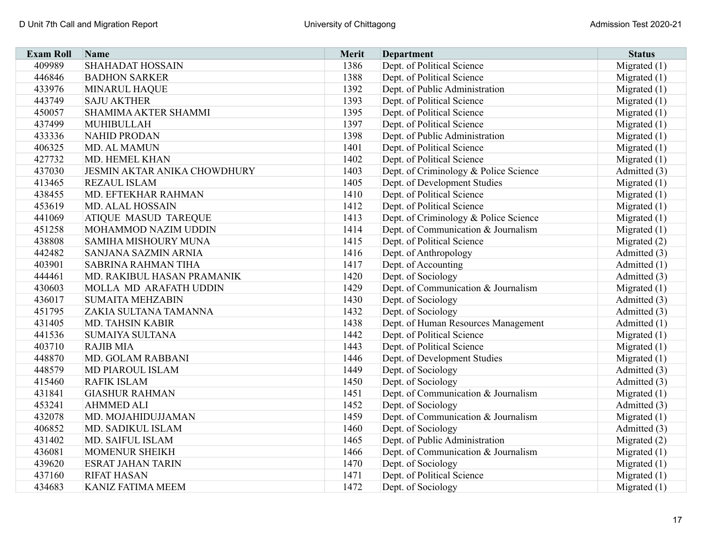| <b>Exam Roll</b> | Name                                | <b>Merit</b> | <b>Department</b>                     | <b>Status</b>  |
|------------------|-------------------------------------|--------------|---------------------------------------|----------------|
| 409989           | <b>SHAHADAT HOSSAIN</b>             | 1386         | Dept. of Political Science            | Migrated (1)   |
| 446846           | <b>BADHON SARKER</b>                | 1388         | Dept. of Political Science            | Migrated $(1)$ |
| 433976           | <b>MINARUL HAQUE</b>                | 1392         | Dept. of Public Administration        | Migrated $(1)$ |
| 443749           | <b>SAJU AKTHER</b>                  | 1393         | Dept. of Political Science            | Migrated $(1)$ |
| 450057           | SHAMIMA AKTER SHAMMI                | 1395         | Dept. of Political Science            | Migrated $(1)$ |
| 437499           | MUHIBULLAH                          | 1397         | Dept. of Political Science            | Migrated $(1)$ |
| 433336           | <b>NAHID PRODAN</b>                 | 1398         | Dept. of Public Administration        | Migrated $(1)$ |
| 406325           | MD. AL MAMUN                        | 1401         | Dept. of Political Science            | Migrated $(1)$ |
| 427732           | MD. HEMEL KHAN                      | 1402         | Dept. of Political Science            | Migrated $(1)$ |
| 437030           | <b>JESMIN AKTAR ANIKA CHOWDHURY</b> | 1403         | Dept. of Criminology & Police Science | Admitted (3)   |
| 413465           | <b>REZAUL ISLAM</b>                 | 1405         | Dept. of Development Studies          | Migrated $(1)$ |
| 438455           | MD. EFTEKHAR RAHMAN                 | 1410         | Dept. of Political Science            | Migrated $(1)$ |
| 453619           | <b>MD. ALAL HOSSAIN</b>             | 1412         | Dept. of Political Science            | Migrated $(1)$ |
| 441069           | <b>ATIQUE MASUD TAREQUE</b>         | 1413         | Dept. of Criminology & Police Science | Migrated $(1)$ |
| 451258           | MOHAMMOD NAZIM UDDIN                | 1414         | Dept. of Communication & Journalism   | Migrated $(1)$ |
| 438808           | SAMIHA MISHOURY MUNA                | 1415         | Dept. of Political Science            | Migrated (2)   |
| 442482           | SANJANA SAZMIN ARNIA                | 1416         | Dept. of Anthropology                 | Admitted (3)   |
| 403901           | <b>SABRINA RAHMAN TIHA</b>          | 1417         | Dept. of Accounting                   | Admitted (1)   |
| 444461           | MD. RAKIBUL HASAN PRAMANIK          | 1420         | Dept. of Sociology                    | Admitted (3)   |
| 430603           | MOLLA MD ARAFATH UDDIN              | 1429         | Dept. of Communication & Journalism   | Migrated $(1)$ |
| 436017           | <b>SUMAITA MEHZABIN</b>             | 1430         | Dept. of Sociology                    | Admitted (3)   |
| 451795           | ZAKIA SULTANA TAMANNA               | 1432         | Dept. of Sociology                    | Admitted (3)   |
| 431405           | MD. TAHSIN KABIR                    | 1438         | Dept. of Human Resources Management   | Admitted (1)   |
| 441536           | <b>SUMAIYA SULTANA</b>              | 1442         | Dept. of Political Science            | Migrated $(1)$ |
| 403710           | <b>RAJIB MIA</b>                    | 1443         | Dept. of Political Science            | Migrated $(1)$ |
| 448870           | MD. GOLAM RABBANI                   | 1446         | Dept. of Development Studies          | Migrated $(1)$ |
| 448579           | MD PIAROUL ISLAM                    | 1449         | Dept. of Sociology                    | Admitted (3)   |
| 415460           | <b>RAFIK ISLAM</b>                  | 1450         | Dept. of Sociology                    | Admitted (3)   |
| 431841           | <b>GIASHUR RAHMAN</b>               | 1451         | Dept. of Communication & Journalism   | Migrated $(1)$ |
| 453241           | <b>AHMMED ALI</b>                   | 1452         | Dept. of Sociology                    | Admitted (3)   |
| 432078           | MD. MOJAHIDUJJAMAN                  | 1459         | Dept. of Communication & Journalism   | Migrated $(1)$ |
| 406852           | MD. SADIKUL ISLAM                   | 1460         | Dept. of Sociology                    | Admitted (3)   |
| 431402           | MD. SAIFUL ISLAM                    | 1465         | Dept. of Public Administration        | Migrated (2)   |
| 436081           | <b>MOMENUR SHEIKH</b>               | 1466         | Dept. of Communication & Journalism   | Migrated $(1)$ |
| 439620           | <b>ESRAT JAHAN TARIN</b>            | 1470         | Dept. of Sociology                    | Migrated $(1)$ |
| 437160           | <b>RIFAT HASAN</b>                  | 1471         | Dept. of Political Science            | Migrated $(1)$ |
| 434683           | <b>KANIZ FATIMA MEEM</b>            | 1472         | Dept. of Sociology                    | Migrated $(1)$ |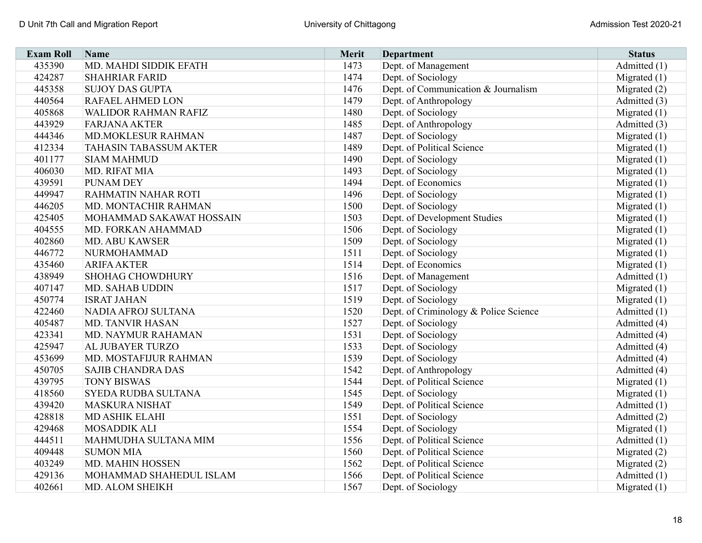| <b>Exam Roll</b> | Name                        | <b>Merit</b> | <b>Department</b>                     | <b>Status</b>  |
|------------------|-----------------------------|--------------|---------------------------------------|----------------|
| 435390           | MD. MAHDI SIDDIK EFATH      | 1473         | Dept. of Management                   | Admitted (1)   |
| 424287           | <b>SHAHRIAR FARID</b>       | 1474         | Dept. of Sociology                    | Migrated $(1)$ |
| 445358           | <b>SUJOY DAS GUPTA</b>      | 1476         | Dept. of Communication & Journalism   | Migrated $(2)$ |
| 440564           | RAFAEL AHMED LON            | 1479         | Dept. of Anthropology                 | Admitted (3)   |
| 405868           | <b>WALIDOR RAHMAN RAFIZ</b> | 1480         | Dept. of Sociology                    | Migrated $(1)$ |
| 443929           | <b>FARJANA AKTER</b>        | 1485         | Dept. of Anthropology                 | Admitted (3)   |
| 444346           | MD.MOKLESUR RAHMAN          | 1487         | Dept. of Sociology                    | Migrated $(1)$ |
| 412334           | TAHASIN TABASSUM AKTER      | 1489         | Dept. of Political Science            | Migrated $(1)$ |
| 401177           | <b>SIAM MAHMUD</b>          | 1490         | Dept. of Sociology                    | Migrated $(1)$ |
| 406030           | MD. RIFAT MIA               | 1493         | Dept. of Sociology                    | Migrated $(1)$ |
| 439591           | <b>PUNAM DEY</b>            | 1494         | Dept. of Economics                    | Migrated $(1)$ |
| 449947           | RAHMATIN NAHAR ROTI         | 1496         | Dept. of Sociology                    | Migrated $(1)$ |
| 446205           | MD. MONTACHIR RAHMAN        | 1500         | Dept. of Sociology                    | Migrated $(1)$ |
| 425405           | MOHAMMAD SAKAWAT HOSSAIN    | 1503         | Dept. of Development Studies          | Migrated $(1)$ |
| 404555           | MD. FORKAN AHAMMAD          | 1506         | Dept. of Sociology                    | Migrated $(1)$ |
| 402860           | <b>MD. ABU KAWSER</b>       | 1509         | Dept. of Sociology                    | Migrated $(1)$ |
| 446772           | NURMOHAMMAD                 | 1511         | Dept. of Sociology                    | Migrated $(1)$ |
| 435460           | <b>ARIFA AKTER</b>          | 1514         | Dept. of Economics                    | Migrated $(1)$ |
| 438949           | <b>SHOHAG CHOWDHURY</b>     | 1516         | Dept. of Management                   | Admitted (1)   |
| 407147           | <b>MD. SAHAB UDDIN</b>      | 1517         | Dept. of Sociology                    | Migrated $(1)$ |
| 450774           | <b>ISRAT JAHAN</b>          | 1519         | Dept. of Sociology                    | Migrated $(1)$ |
| 422460           | NADIA AFROJ SULTANA         | 1520         | Dept. of Criminology & Police Science | Admitted (1)   |
| 405487           | <b>MD. TANVIR HASAN</b>     | 1527         | Dept. of Sociology                    | Admitted (4)   |
| 423341           | MD. NAYMUR RAHAMAN          | 1531         | Dept. of Sociology                    | Admitted (4)   |
| 425947           | AL JUBAYER TURZO            | 1533         | Dept. of Sociology                    | Admitted (4)   |
| 453699           | MD. MOSTAFIJUR RAHMAN       | 1539         | Dept. of Sociology                    | Admitted (4)   |
| 450705           | <b>SAJIB CHANDRA DAS</b>    | 1542         | Dept. of Anthropology                 | Admitted (4)   |
| 439795           | <b>TONY BISWAS</b>          | 1544         | Dept. of Political Science            | Migrated $(1)$ |
| 418560           | SYEDA RUDBA SULTANA         | 1545         | Dept. of Sociology                    | Migrated $(1)$ |
| 439420           | MASKURA NISHAT              | 1549         | Dept. of Political Science            | Admitted (1)   |
| 428818           | <b>MD ASHIK ELAHI</b>       | 1551         | Dept. of Sociology                    | Admitted (2)   |
| 429468           | <b>MOSADDIK ALI</b>         | 1554         | Dept. of Sociology                    | Migrated $(1)$ |
| 444511           | MAHMUDHA SULTANA MIM        | 1556         | Dept. of Political Science            | Admitted (1)   |
| 409448           | <b>SUMON MIA</b>            | 1560         | Dept. of Political Science            | Migrated (2)   |
| 403249           | MD. MAHIN HOSSEN            | 1562         | Dept. of Political Science            | Migrated $(2)$ |
| 429136           | MOHAMMAD SHAHEDUL ISLAM     | 1566         | Dept. of Political Science            | Admitted (1)   |
| 402661           | MD. ALOM SHEIKH             | 1567         | Dept. of Sociology                    | Migrated $(1)$ |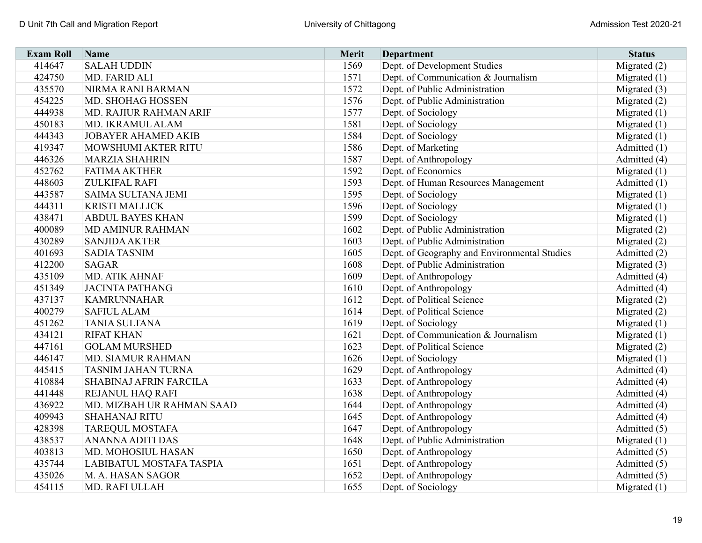| <b>Exam Roll</b> | Name                       | Merit | Department                                   | <b>Status</b>  |
|------------------|----------------------------|-------|----------------------------------------------|----------------|
| 414647           | <b>SALAH UDDIN</b>         | 1569  | Dept. of Development Studies                 | Migrated (2)   |
| 424750           | MD. FARID ALI              | 1571  | Dept. of Communication & Journalism          | Migrated $(1)$ |
| 435570           | NIRMA RANI BARMAN          | 1572  | Dept. of Public Administration               | Migrated (3)   |
| 454225           | MD. SHOHAG HOSSEN          | 1576  | Dept. of Public Administration               | Migrated $(2)$ |
| 444938           | MD. RAJIUR RAHMAN ARIF     | 1577  | Dept. of Sociology                           | Migrated $(1)$ |
| 450183           | MD. IKRAMUL ALAM           | 1581  | Dept. of Sociology                           | Migrated $(1)$ |
| 444343           | <b>JOBAYER AHAMED AKIB</b> | 1584  | Dept. of Sociology                           | Migrated (1)   |
| 419347           | MOWSHUMI AKTER RITU        | 1586  | Dept. of Marketing                           | Admitted (1)   |
| 446326           | <b>MARZIA SHAHRIN</b>      | 1587  | Dept. of Anthropology                        | Admitted (4)   |
| 452762           | <b>FATIMA AKTHER</b>       | 1592  | Dept. of Economics                           | Migrated $(1)$ |
| 448603           | <b>ZULKIFAL RAFI</b>       | 1593  | Dept. of Human Resources Management          | Admitted (1)   |
| 443587           | <b>SAIMA SULTANA JEMI</b>  | 1595  | Dept. of Sociology                           | Migrated $(1)$ |
| 444311           | <b>KRISTI MALLICK</b>      | 1596  | Dept. of Sociology                           | Migrated $(1)$ |
| 438471           | <b>ABDUL BAYES KHAN</b>    | 1599  | Dept. of Sociology                           | Migrated $(1)$ |
| 400089           | MD AMINUR RAHMAN           | 1602  | Dept. of Public Administration               | Migrated $(2)$ |
| 430289           | <b>SANJIDA AKTER</b>       | 1603  | Dept. of Public Administration               | Migrated $(2)$ |
| 401693           | <b>SADIA TASNIM</b>        | 1605  | Dept. of Geography and Environmental Studies | Admitted (2)   |
| 412200           | <b>SAGAR</b>               | 1608  | Dept. of Public Administration               | Migrated $(3)$ |
| 435109           | <b>MD. ATIK AHNAF</b>      | 1609  | Dept. of Anthropology                        | Admitted (4)   |
| 451349           | <b>JACINTA PATHANG</b>     | 1610  | Dept. of Anthropology                        | Admitted (4)   |
| 437137           | <b>KAMRUNNAHAR</b>         | 1612  | Dept. of Political Science                   | Migrated (2)   |
| 400279           | <b>SAFIUL ALAM</b>         | 1614  | Dept. of Political Science                   | Migrated (2)   |
| 451262           | <b>TANIA SULTANA</b>       | 1619  | Dept. of Sociology                           | Migrated $(1)$ |
| 434121           | <b>RIFAT KHAN</b>          | 1621  | Dept. of Communication & Journalism          | Migrated $(1)$ |
| 447161           | <b>GOLAM MURSHED</b>       | 1623  | Dept. of Political Science                   | Migrated (2)   |
| 446147           | MD. SIAMUR RAHMAN          | 1626  | Dept. of Sociology                           | Migrated (1)   |
| 445415           | TASNIM JAHAN TURNA         | 1629  | Dept. of Anthropology                        | Admitted (4)   |
| 410884           | SHABINAJ AFRIN FARCILA     | 1633  | Dept. of Anthropology                        | Admitted (4)   |
| 441448           | REJANUL HAQ RAFI           | 1638  | Dept. of Anthropology                        | Admitted (4)   |
| 436922           | MD. MIZBAH UR RAHMAN SAAD  | 1644  | Dept. of Anthropology                        | Admitted (4)   |
| 409943           | <b>SHAHANAJ RITU</b>       | 1645  | Dept. of Anthropology                        | Admitted (4)   |
| 428398           | <b>TAREQUL MOSTAFA</b>     | 1647  | Dept. of Anthropology                        | Admitted (5)   |
| 438537           | ANANNA ADITI DAS           | 1648  | Dept. of Public Administration               | Migrated $(1)$ |
| 403813           | MD. MOHOSIUL HASAN         | 1650  | Dept. of Anthropology                        | Admitted (5)   |
| 435744           | LABIBATUL MOSTAFA TASPIA   | 1651  | Dept. of Anthropology                        | Admitted (5)   |
| 435026           | M. A. HASAN SAGOR          | 1652  | Dept. of Anthropology                        | Admitted (5)   |
| 454115           | MD. RAFI ULLAH             | 1655  | Dept. of Sociology                           | Migrated $(1)$ |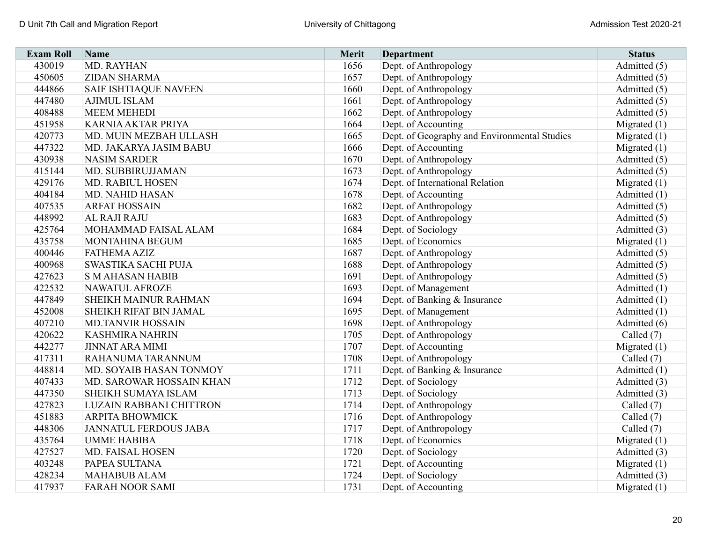| <b>Exam Roll</b> | Name                         | Merit | <b>Department</b>                            | <b>Status</b>  |
|------------------|------------------------------|-------|----------------------------------------------|----------------|
| 430019           | MD. RAYHAN                   | 1656  | Dept. of Anthropology                        | Admitted (5)   |
| 450605           | <b>ZIDAN SHARMA</b>          | 1657  | Dept. of Anthropology                        | Admitted (5)   |
| 444866           | <b>SAIF ISHTIAQUE NAVEEN</b> | 1660  | Dept. of Anthropology                        | Admitted (5)   |
| 447480           | <b>AJIMUL ISLAM</b>          | 1661  | Dept. of Anthropology                        | Admitted (5)   |
| 408488           | <b>MEEM MEHEDI</b>           | 1662  | Dept. of Anthropology                        | Admitted (5)   |
| 451958           | KARNIA AKTAR PRIYA           | 1664  | Dept. of Accounting                          | Migrated $(1)$ |
| 420773           | MD. MUIN MEZBAH ULLASH       | 1665  | Dept. of Geography and Environmental Studies | Migrated $(1)$ |
| 447322           | MD. JAKARYA JASIM BABU       | 1666  | Dept. of Accounting                          | Migrated $(1)$ |
| 430938           | <b>NASIM SARDER</b>          | 1670  | Dept. of Anthropology                        | Admitted (5)   |
| 415144           | MD. SUBBIRUJJAMAN            | 1673  | Dept. of Anthropology                        | Admitted (5)   |
| 429176           | MD. RABIUL HOSEN             | 1674  | Dept. of International Relation              | Migrated $(1)$ |
| 404184           | <b>MD. NAHID HASAN</b>       | 1678  | Dept. of Accounting                          | Admitted (1)   |
| 407535           | <b>ARFAT HOSSAIN</b>         | 1682  | Dept. of Anthropology                        | Admitted (5)   |
| 448992           | AL RAJI RAJU                 | 1683  | Dept. of Anthropology                        | Admitted (5)   |
| 425764           | MOHAMMAD FAISAL ALAM         | 1684  | Dept. of Sociology                           | Admitted (3)   |
| 435758           | MONTAHINA BEGUM              | 1685  | Dept. of Economics                           | Migrated $(1)$ |
| 400446           | <b>FATHEMA AZIZ</b>          | 1687  | Dept. of Anthropology                        | Admitted (5)   |
| 400968           | SWASTIKA SACHI PUJA          | 1688  | Dept. of Anthropology                        | Admitted (5)   |
| 427623           | <b>S M AHASAN HABIB</b>      | 1691  | Dept. of Anthropology                        | Admitted (5)   |
| 422532           | <b>NAWATUL AFROZE</b>        | 1693  | Dept. of Management                          | Admitted (1)   |
| 447849           | SHEIKH MAINUR RAHMAN         | 1694  | Dept. of Banking & Insurance                 | Admitted (1)   |
| 452008           | SHEIKH RIFAT BIN JAMAL       | 1695  | Dept. of Management                          | Admitted $(1)$ |
| 407210           | <b>MD.TANVIR HOSSAIN</b>     | 1698  | Dept. of Anthropology                        | Admitted (6)   |
| 420622           | <b>KASHMIRA NAHRIN</b>       | 1705  | Dept. of Anthropology                        | Called $(7)$   |
| 442277           | <b>JINNAT ARA MIMI</b>       | 1707  | Dept. of Accounting                          | Migrated $(1)$ |
| 417311           | RAHANUMA TARANNUM            | 1708  | Dept. of Anthropology                        | Called (7)     |
| 448814           | MD. SOYAIB HASAN TONMOY      | 1711  | Dept. of Banking & Insurance                 | Admitted (1)   |
| 407433           | MD. SAROWAR HOSSAIN KHAN     | 1712  | Dept. of Sociology                           | Admitted (3)   |
| 447350           | SHEIKH SUMAYA ISLAM          | 1713  | Dept. of Sociology                           | Admitted (3)   |
| 427823           | LUZAIN RABBANI CHITTRON      | 1714  | Dept. of Anthropology                        | Called (7)     |
| 451883           | <b>ARPITA BHOWMICK</b>       | 1716  | Dept. of Anthropology                        | Called (7)     |
| 448306           | <b>JANNATUL FERDOUS JABA</b> | 1717  | Dept. of Anthropology                        | Called (7)     |
| 435764           | <b>UMME HABIBA</b>           | 1718  | Dept. of Economics                           | Migrated $(1)$ |
| 427527           | MD. FAISAL HOSEN             | 1720  | Dept. of Sociology                           | Admitted (3)   |
| 403248           | PAPEA SULTANA                | 1721  | Dept. of Accounting                          | Migrated (1)   |
| 428234           | <b>MAHABUB ALAM</b>          | 1724  | Dept. of Sociology                           | Admitted (3)   |
| 417937           | <b>FARAH NOOR SAMI</b>       | 1731  | Dept. of Accounting                          | Migrated $(1)$ |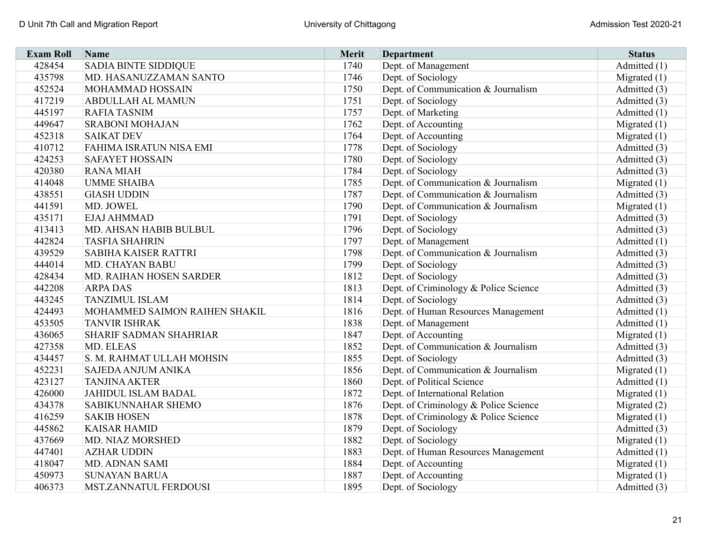| <b>Exam Roll</b> | Name                          | Merit | <b>Department</b>                     | <b>Status</b>  |
|------------------|-------------------------------|-------|---------------------------------------|----------------|
| 428454           | <b>SADIA BINTE SIDDIQUE</b>   | 1740  | Dept. of Management                   | Admitted (1)   |
| 435798           | MD. HASANUZZAMAN SANTO        | 1746  | Dept. of Sociology                    | Migrated $(1)$ |
| 452524           | MOHAMMAD HOSSAIN              | 1750  | Dept. of Communication & Journalism   | Admitted (3)   |
| 417219           | <b>ABDULLAH AL MAMUN</b>      | 1751  | Dept. of Sociology                    | Admitted (3)   |
| 445197           | <b>RAFIA TASNIM</b>           | 1757  | Dept. of Marketing                    | Admitted (1)   |
| 449647           | <b>SRABONI MOHAJAN</b>        | 1762  | Dept. of Accounting                   | Migrated $(1)$ |
| 452318           | <b>SAIKAT DEV</b>             | 1764  | Dept. of Accounting                   | Migrated $(1)$ |
| 410712           | FAHIMA ISRATUN NISA EMI       | 1778  | Dept. of Sociology                    | Admitted (3)   |
| 424253           | <b>SAFAYET HOSSAIN</b>        | 1780  | Dept. of Sociology                    | Admitted (3)   |
| 420380           | <b>RANA MIAH</b>              | 1784  | Dept. of Sociology                    | Admitted (3)   |
| 414048           | <b>UMME SHAIBA</b>            | 1785  | Dept. of Communication & Journalism   | Migrated $(1)$ |
| 438551           | <b>GIASH UDDIN</b>            | 1787  | Dept. of Communication & Journalism   | Admitted (3)   |
| 441591           | MD. JOWEL                     | 1790  | Dept. of Communication & Journalism   | Migrated $(1)$ |
| 435171           | EJAJ AHMMAD                   | 1791  | Dept. of Sociology                    | Admitted (3)   |
| 413413           | MD. AHSAN HABIB BULBUL        | 1796  | Dept. of Sociology                    | Admitted (3)   |
| 442824           | <b>TASFIA SHAHRIN</b>         | 1797  | Dept. of Management                   | Admitted (1)   |
| 439529           | <b>SABIHA KAISER RATTRI</b>   | 1798  | Dept. of Communication & Journalism   | Admitted (3)   |
| 444014           | MD. CHAYAN BABU               | 1799  | Dept. of Sociology                    | Admitted (3)   |
| 428434           | MD. RAIHAN HOSEN SARDER       | 1812  | Dept. of Sociology                    | Admitted (3)   |
| 442208           | <b>ARPA DAS</b>               | 1813  | Dept. of Criminology & Police Science | Admitted (3)   |
| 443245           | <b>TANZIMUL ISLAM</b>         | 1814  | Dept. of Sociology                    | Admitted (3)   |
| 424493           | MOHAMMED SAIMON RAIHEN SHAKIL | 1816  | Dept. of Human Resources Management   | Admitted (1)   |
| 453505           | <b>TANVIR ISHRAK</b>          | 1838  | Dept. of Management                   | Admitted (1)   |
| 436065           | <b>SHARIF SADMAN SHAHRIAR</b> | 1847  | Dept. of Accounting                   | Migrated $(1)$ |
| 427358           | MD. ELEAS                     | 1852  | Dept. of Communication & Journalism   | Admitted (3)   |
| 434457           | S. M. RAHMAT ULLAH MOHSIN     | 1855  | Dept. of Sociology                    | Admitted (3)   |
| 452231           | SAJEDA ANJUM ANIKA            | 1856  | Dept. of Communication & Journalism   | Migrated $(1)$ |
| 423127           | <b>TANJINA AKTER</b>          | 1860  | Dept. of Political Science            | Admitted (1)   |
| 426000           | <b>JAHIDUL ISLAM BADAL</b>    | 1872  | Dept. of International Relation       | Migrated $(1)$ |
| 434378           | SABIKUNNAHAR SHEMO            | 1876  | Dept. of Criminology & Police Science | Migrated (2)   |
| 416259           | <b>SAKIB HOSEN</b>            | 1878  | Dept. of Criminology & Police Science | Migrated $(1)$ |
| 445862           | <b>KAISAR HAMID</b>           | 1879  | Dept. of Sociology                    | Admitted (3)   |
| 437669           | MD. NIAZ MORSHED              | 1882  | Dept. of Sociology                    | Migrated $(1)$ |
| 447401           | <b>AZHAR UDDIN</b>            | 1883  | Dept. of Human Resources Management   | Admitted (1)   |
| 418047           | MD. ADNAN SAMI                | 1884  | Dept. of Accounting                   | Migrated $(1)$ |
| 450973           | <b>SUNAYAN BARUA</b>          | 1887  | Dept. of Accounting                   | Migrated $(1)$ |
| 406373           | MST.ZANNATUL FERDOUSI         | 1895  | Dept. of Sociology                    | Admitted (3)   |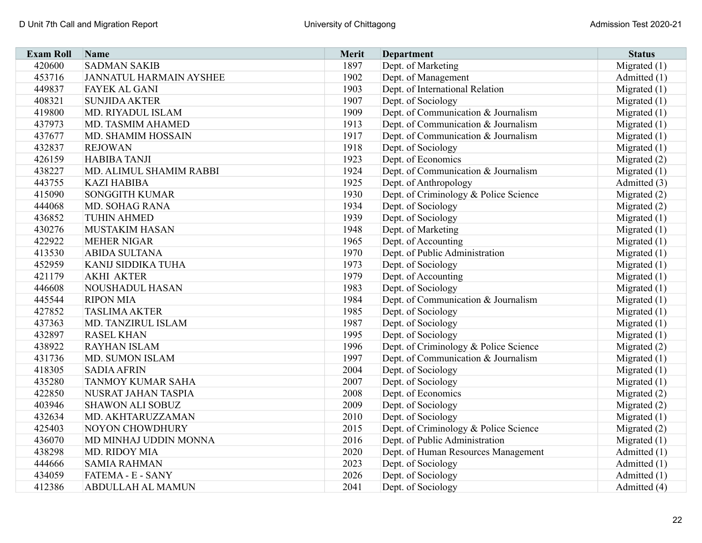| <b>Exam Roll</b> | Name                           | <b>Merit</b> | <b>Department</b>                     | <b>Status</b>  |
|------------------|--------------------------------|--------------|---------------------------------------|----------------|
| 420600           | <b>SADMAN SAKIB</b>            | 1897         | Dept. of Marketing                    | Migrated (1)   |
| 453716           | <b>JANNATUL HARMAIN AYSHEE</b> | 1902         | Dept. of Management                   | Admitted (1)   |
| 449837           | <b>FAYEK AL GANI</b>           | 1903         | Dept. of International Relation       | Migrated $(1)$ |
| 408321           | <b>SUNJIDA AKTER</b>           | 1907         | Dept. of Sociology                    | Migrated $(1)$ |
| 419800           | MD. RIYADUL ISLAM              | 1909         | Dept. of Communication & Journalism   | Migrated $(1)$ |
| 437973           | MD. TASMIM AHAMED              | 1913         | Dept. of Communication & Journalism   | Migrated $(1)$ |
| 437677           | MD. SHAMIM HOSSAIN             | 1917         | Dept. of Communication & Journalism   | Migrated (1)   |
| 432837           | <b>REJOWAN</b>                 | 1918         | Dept. of Sociology                    | Migrated $(1)$ |
| 426159           | <b>HABIBA TANJI</b>            | 1923         | Dept. of Economics                    | Migrated (2)   |
| 438227           | MD. ALIMUL SHAMIM RABBI        | 1924         | Dept. of Communication & Journalism   | Migrated $(1)$ |
| 443755           | <b>KAZI HABIBA</b>             | 1925         | Dept. of Anthropology                 | Admitted (3)   |
| 415090           | <b>SONGGITH KUMAR</b>          | 1930         | Dept. of Criminology & Police Science | Migrated $(2)$ |
| 444068           | <b>MD. SOHAG RANA</b>          | 1934         | Dept. of Sociology                    | Migrated $(2)$ |
| 436852           | <b>TUHIN AHMED</b>             | 1939         | Dept. of Sociology                    | Migrated $(1)$ |
| 430276           | <b>MUSTAKIM HASAN</b>          | 1948         | Dept. of Marketing                    | Migrated $(1)$ |
| 422922           | <b>MEHER NIGAR</b>             | 1965         | Dept. of Accounting                   | Migrated $(1)$ |
| 413530           | <b>ABIDA SULTANA</b>           | 1970         | Dept. of Public Administration        | Migrated $(1)$ |
| 452959           | <b>KANIJ SIDDIKA TUHA</b>      | 1973         | Dept. of Sociology                    | Migrated $(1)$ |
| 421179           | <b>AKHI AKTER</b>              | 1979         | Dept. of Accounting                   | Migrated $(1)$ |
| 446608           | <b>NOUSHADUL HASAN</b>         | 1983         | Dept. of Sociology                    | Migrated $(1)$ |
| 445544           | <b>RIPON MIA</b>               | 1984         | Dept. of Communication & Journalism   | Migrated $(1)$ |
| 427852           | <b>TASLIMA AKTER</b>           | 1985         | Dept. of Sociology                    | Migrated (1)   |
| 437363           | MD. TANZIRUL ISLAM             | 1987         | Dept. of Sociology                    | Migrated $(1)$ |
| 432897           | <b>RASEL KHAN</b>              | 1995         | Dept. of Sociology                    | Migrated (1)   |
| 438922           | <b>RAYHAN ISLAM</b>            | 1996         | Dept. of Criminology & Police Science | Migrated (2)   |
| 431736           | MD. SUMON ISLAM                | 1997         | Dept. of Communication & Journalism   | Migrated $(1)$ |
| 418305           | <b>SADIA AFRIN</b>             | 2004         | Dept. of Sociology                    | Migrated $(1)$ |
| 435280           | TANMOY KUMAR SAHA              | 2007         | Dept. of Sociology                    | Migrated $(1)$ |
| 422850           | NUSRAT JAHAN TASPIA            | 2008         | Dept. of Economics                    | Migrated $(2)$ |
| 403946           | <b>SHAWON ALI SOBUZ</b>        | 2009         | Dept. of Sociology                    | Migrated (2)   |
| 432634           | MD. AKHTARUZZAMAN              | 2010         | Dept. of Sociology                    | Migrated $(1)$ |
| 425403           | NOYON CHOWDHURY                | 2015         | Dept. of Criminology & Police Science | Migrated (2)   |
| 436070           | MD MINHAJ UDDIN MONNA          | 2016         | Dept. of Public Administration        | Migrated $(1)$ |
| 438298           | MD. RIDOY MIA                  | 2020         | Dept. of Human Resources Management   | Admitted (1)   |
| 444666           | <b>SAMIA RAHMAN</b>            | 2023         | Dept. of Sociology                    | Admitted (1)   |
| 434059           | FATEMA - E - SANY              | 2026         | Dept. of Sociology                    | Admitted (1)   |
| 412386           | ABDULLAH AL MAMUN              | 2041         | Dept. of Sociology                    | Admitted (4)   |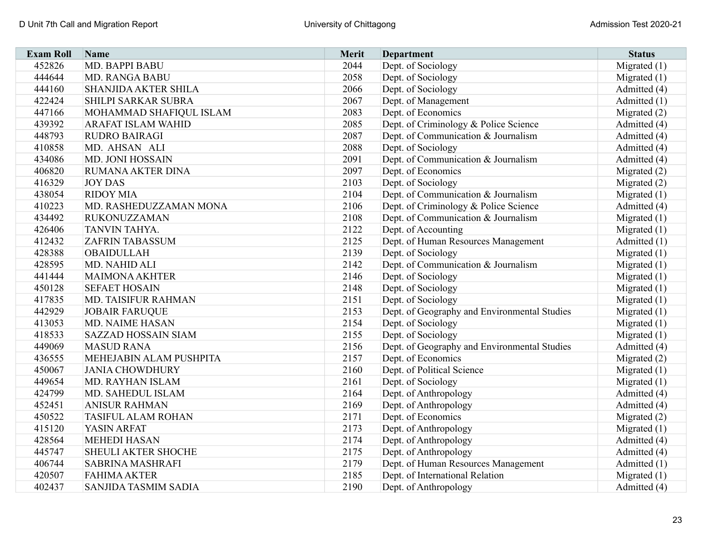| <b>Exam Roll</b> | Name                       | <b>Merit</b> | <b>Department</b>                            | <b>Status</b>  |
|------------------|----------------------------|--------------|----------------------------------------------|----------------|
| 452826           | MD. BAPPI BABU             | 2044         | Dept. of Sociology                           | Migrated $(1)$ |
| 444644           | <b>MD. RANGA BABU</b>      | 2058         | Dept. of Sociology                           | Migrated $(1)$ |
| 444160           | SHANJIDA AKTER SHILA       | 2066         | Dept. of Sociology                           | Admitted (4)   |
| 422424           | SHILPI SARKAR SUBRA        | 2067         | Dept. of Management                          | Admitted (1)   |
| 447166           | MOHAMMAD SHAFIQUL ISLAM    | 2083         | Dept. of Economics                           | Migrated $(2)$ |
| 439392           | <b>ARAFAT ISLAM WAHID</b>  | 2085         | Dept. of Criminology & Police Science        | Admitted (4)   |
| 448793           | RUDRO BAIRAGI              | 2087         | Dept. of Communication & Journalism          | Admitted (4)   |
| 410858           | MD. AHSAN ALI              | 2088         | Dept. of Sociology                           | Admitted (4)   |
| 434086           | MD. JONI HOSSAIN           | 2091         | Dept. of Communication & Journalism          | Admitted (4)   |
| 406820           | RUMANA AKTER DINA          | 2097         | Dept. of Economics                           | Migrated $(2)$ |
| 416329           | <b>JOY DAS</b>             | 2103         | Dept. of Sociology                           | Migrated $(2)$ |
| 438054           | <b>RIDOY MIA</b>           | 2104         | Dept. of Communication & Journalism          | Migrated $(1)$ |
| 410223           | MD. RASHEDUZZAMAN MONA     | 2106         | Dept. of Criminology & Police Science        | Admitted (4)   |
| 434492           | <b>RUKONUZZAMAN</b>        | 2108         | Dept. of Communication & Journalism          | Migrated $(1)$ |
| 426406           | TANVIN TAHYA.              | 2122         | Dept. of Accounting                          | Migrated $(1)$ |
| 412432           | <b>ZAFRIN TABASSUM</b>     | 2125         | Dept. of Human Resources Management          | Admitted (1)   |
| 428388           | <b>OBAIDULLAH</b>          | 2139         | Dept. of Sociology                           | Migrated $(1)$ |
| 428595           | MD. NAHID ALI              | 2142         | Dept. of Communication & Journalism          | Migrated $(1)$ |
| 441444           | <b>MAIMONA AKHTER</b>      | 2146         | Dept. of Sociology                           | Migrated $(1)$ |
| 450128           | <b>SEFAET HOSAIN</b>       | 2148         | Dept. of Sociology                           | Migrated $(1)$ |
| 417835           | MD. TAISIFUR RAHMAN        | 2151         | Dept. of Sociology                           | Migrated $(1)$ |
| 442929           | <b>JOBAIR FARUQUE</b>      | 2153         | Dept. of Geography and Environmental Studies | Migrated $(1)$ |
| 413053           | <b>MD. NAIME HASAN</b>     | 2154         | Dept. of Sociology                           | Migrated $(1)$ |
| 418533           | <b>SAZZAD HOSSAIN SIAM</b> | 2155         | Dept. of Sociology                           | Migrated $(1)$ |
| 449069           | <b>MASUD RANA</b>          | 2156         | Dept. of Geography and Environmental Studies | Admitted (4)   |
| 436555           | MEHEJABIN ALAM PUSHPITA    | 2157         | Dept. of Economics                           | Migrated $(2)$ |
| 450067           | <b>JANIA CHOWDHURY</b>     | 2160         | Dept. of Political Science                   | Migrated $(1)$ |
| 449654           | MD. RAYHAN ISLAM           | 2161         | Dept. of Sociology                           | Migrated $(1)$ |
| 424799           | MD. SAHEDUL ISLAM          | 2164         | Dept. of Anthropology                        | Admitted (4)   |
| 452451           | <b>ANISUR RAHMAN</b>       | 2169         | Dept. of Anthropology                        | Admitted (4)   |
| 450522           | <b>TASIFUL ALAM ROHAN</b>  | 2171         | Dept. of Economics                           | Migrated $(2)$ |
| 415120           | YASIN ARFAT                | 2173         | Dept. of Anthropology                        | Migrated $(1)$ |
| 428564           | <b>MEHEDI HASAN</b>        | 2174         | Dept. of Anthropology                        | Admitted (4)   |
| 445747           | SHEULI AKTER SHOCHE        | 2175         | Dept. of Anthropology                        | Admitted (4)   |
| 406744           | <b>SABRINA MASHRAFI</b>    | 2179         | Dept. of Human Resources Management          | Admitted (1)   |
| 420507           | <b>FAHIMA AKTER</b>        | 2185         | Dept. of International Relation              | Migrated $(1)$ |
| 402437           | SANJIDA TASMIM SADIA       | 2190         | Dept. of Anthropology                        | Admitted (4)   |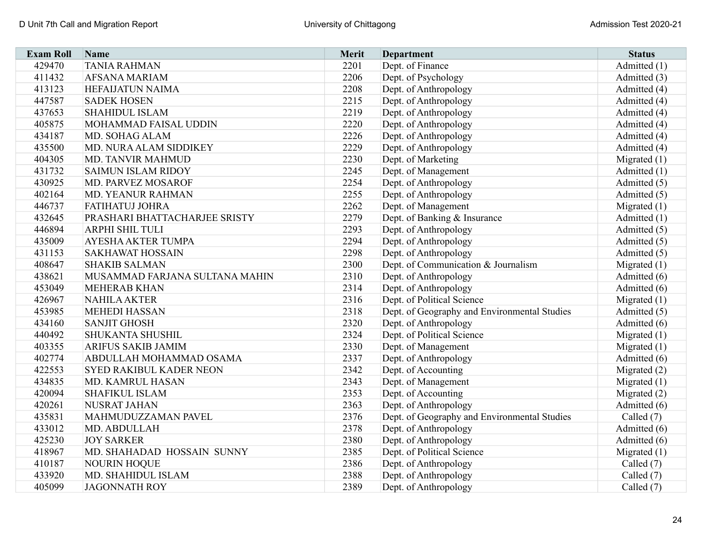| <b>Exam Roll</b> | Name                           | <b>Merit</b> | <b>Department</b>                            | <b>Status</b>  |
|------------------|--------------------------------|--------------|----------------------------------------------|----------------|
| 429470           | <b>TANIA RAHMAN</b>            | 2201         | Dept. of Finance                             | Admitted (1)   |
| 411432           | <b>AFSANA MARIAM</b>           | 2206         | Dept. of Psychology                          | Admitted (3)   |
| 413123           | <b>HEFAIJATUN NAIMA</b>        | 2208         | Dept. of Anthropology                        | Admitted (4)   |
| 447587           | <b>SADEK HOSEN</b>             | 2215         | Dept. of Anthropology                        | Admitted (4)   |
| 437653           | <b>SHAHIDUL ISLAM</b>          | 2219         | Dept. of Anthropology                        | Admitted (4)   |
| 405875           | MOHAMMAD FAISAL UDDIN          | 2220         | Dept. of Anthropology                        | Admitted (4)   |
| 434187           | MD. SOHAG ALAM                 | 2226         | Dept. of Anthropology                        | Admitted (4)   |
| 435500           | MD. NURA ALAM SIDDIKEY         | 2229         | Dept. of Anthropology                        | Admitted (4)   |
| 404305           | MD. TANVIR MAHMUD              | 2230         | Dept. of Marketing                           | Migrated $(1)$ |
| 431732           | <b>SAIMUN ISLAM RIDOY</b>      | 2245         | Dept. of Management                          | Admitted (1)   |
| 430925           | MD. PARVEZ MOSAROF             | 2254         | Dept. of Anthropology                        | Admitted (5)   |
| 402164           | MD. YEANUR RAHMAN              | 2255         | Dept. of Anthropology                        | Admitted (5)   |
| 446737           | FATIHATUJ JOHRA                | 2262         | Dept. of Management                          | Migrated $(1)$ |
| 432645           | PRASHARI BHATTACHARJEE SRISTY  | 2279         | Dept. of Banking & Insurance                 | Admitted (1)   |
| 446894           | <b>ARPHI SHIL TULI</b>         | 2293         | Dept. of Anthropology                        | Admitted (5)   |
| 435009           | <b>AYESHA AKTER TUMPA</b>      | 2294         | Dept. of Anthropology                        | Admitted (5)   |
| 431153           | <b>SAKHAWAT HOSSAIN</b>        | 2298         | Dept. of Anthropology                        | Admitted (5)   |
| 408647           | <b>SHAKIB SALMAN</b>           | 2300         | Dept. of Communication & Journalism          | Migrated $(1)$ |
| 438621           | MUSAMMAD FARJANA SULTANA MAHIN | 2310         | Dept. of Anthropology                        | Admitted (6)   |
| 453049           | <b>MEHERAB KHAN</b>            | 2314         | Dept. of Anthropology                        | Admitted (6)   |
| 426967           | <b>NAHILA AKTER</b>            | 2316         | Dept. of Political Science                   | Migrated $(1)$ |
| 453985           | <b>MEHEDI HASSAN</b>           | 2318         | Dept. of Geography and Environmental Studies | Admitted (5)   |
| 434160           | <b>SANJIT GHOSH</b>            | 2320         | Dept. of Anthropology                        | Admitted (6)   |
| 440492           | SHUKANTA SHUSHIL               | 2324         | Dept. of Political Science                   | Migrated $(1)$ |
| 403355           | ARIFUS SAKIB JAMIM             | 2330         | Dept. of Management                          | Migrated $(1)$ |
| 402774           | ABDULLAH MOHAMMAD OSAMA        | 2337         | Dept. of Anthropology                        | Admitted (6)   |
| 422553           | <b>SYED RAKIBUL KADER NEON</b> | 2342         | Dept. of Accounting                          | Migrated $(2)$ |
| 434835           | MD. KAMRUL HASAN               | 2343         | Dept. of Management                          | Migrated $(1)$ |
| 420094           | <b>SHAFIKUL ISLAM</b>          | 2353         | Dept. of Accounting                          | Migrated $(2)$ |
| 420261           | <b>NUSRAT JAHAN</b>            | 2363         | Dept. of Anthropology                        | Admitted (6)   |
| 435831           | MAHMUDUZZAMAN PAVEL            | 2376         | Dept. of Geography and Environmental Studies | Called (7)     |
| 433012           | MD. ABDULLAH                   | 2378         | Dept. of Anthropology                        | Admitted (6)   |
| 425230           | <b>JOY SARKER</b>              | 2380         | Dept. of Anthropology                        | Admitted (6)   |
| 418967           | MD. SHAHADAD HOSSAIN SUNNY     | 2385         | Dept. of Political Science                   | Migrated $(1)$ |
| 410187           | <b>NOURIN HOQUE</b>            | 2386         | Dept. of Anthropology                        | Called (7)     |
| 433920           | MD. SHAHIDUL ISLAM             | 2388         | Dept. of Anthropology                        | Called (7)     |
| 405099           | <b>JAGONNATH ROY</b>           | 2389         | Dept. of Anthropology                        | Called (7)     |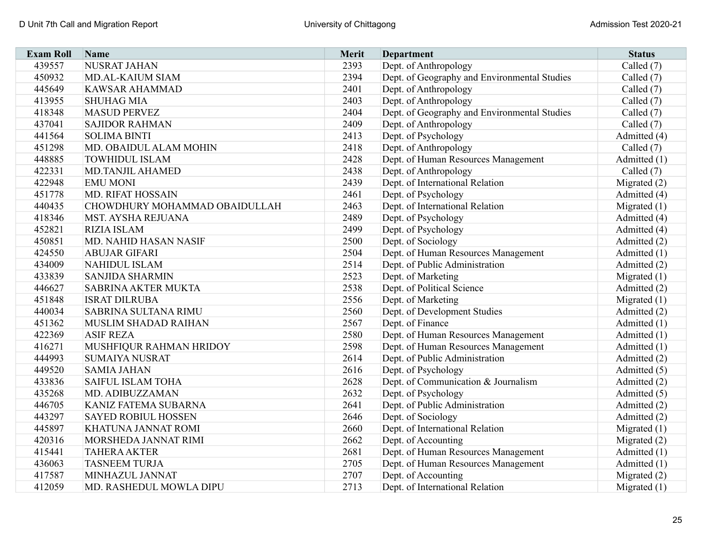| <b>Exam Roll</b> | Name                          | <b>Merit</b> | <b>Department</b>                            | <b>Status</b>  |
|------------------|-------------------------------|--------------|----------------------------------------------|----------------|
| 439557           | <b>NUSRAT JAHAN</b>           | 2393         | Dept. of Anthropology                        | Called (7)     |
| 450932           | <b>MD.AL-KAIUM SIAM</b>       | 2394         | Dept. of Geography and Environmental Studies | Called (7)     |
| 445649           | <b>KAWSAR AHAMMAD</b>         | 2401         | Dept. of Anthropology                        | Called (7)     |
| 413955           | <b>SHUHAG MIA</b>             | 2403         | Dept. of Anthropology                        | Called (7)     |
| 418348           | <b>MASUD PERVEZ</b>           | 2404         | Dept. of Geography and Environmental Studies | Called (7)     |
| 437041           | <b>SAJIDOR RAHMAN</b>         | 2409         | Dept. of Anthropology                        | Called (7)     |
| 441564           | <b>SOLIMA BINTI</b>           | 2413         | Dept. of Psychology                          | Admitted (4)   |
| 451298           | MD. OBAIDUL ALAM MOHIN        | 2418         | Dept. of Anthropology                        | Called $(7)$   |
| 448885           | <b>TOWHIDUL ISLAM</b>         | 2428         | Dept. of Human Resources Management          | Admitted (1)   |
| 422331           | <b>MD.TANJIL AHAMED</b>       | 2438         | Dept. of Anthropology                        | Called $(7)$   |
| 422948           | <b>EMU MONI</b>               | 2439         | Dept. of International Relation              | Migrated $(2)$ |
| 451778           | <b>MD. RIFAT HOSSAIN</b>      | 2461         | Dept. of Psychology                          | Admitted (4)   |
| 440435           | CHOWDHURY MOHAMMAD OBAIDULLAH | 2463         | Dept. of International Relation              | Migrated $(1)$ |
| 418346           | MST. AYSHA REJUANA            | 2489         | Dept. of Psychology                          | Admitted (4)   |
| 452821           | <b>RIZIA ISLAM</b>            | 2499         | Dept. of Psychology                          | Admitted (4)   |
| 450851           | MD. NAHID HASAN NASIF         | 2500         | Dept. of Sociology                           | Admitted (2)   |
| 424550           | <b>ABUJAR GIFARI</b>          | 2504         | Dept. of Human Resources Management          | Admitted (1)   |
| 434009           | <b>NAHIDUL ISLAM</b>          | 2514         | Dept. of Public Administration               | Admitted (2)   |
| 433839           | <b>SANJIDA SHARMIN</b>        | 2523         | Dept. of Marketing                           | Migrated $(1)$ |
| 446627           | <b>SABRINA AKTER MUKTA</b>    | 2538         | Dept. of Political Science                   | Admitted (2)   |
| 451848           | <b>ISRAT DILRUBA</b>          | 2556         | Dept. of Marketing                           | Migrated $(1)$ |
| 440034           | <b>SABRINA SULTANA RIMU</b>   | 2560         | Dept. of Development Studies                 | Admitted (2)   |
| 451362           | MUSLIM SHADAD RAIHAN          | 2567         | Dept. of Finance                             | Admitted (1)   |
| 422369           | <b>ASIF REZA</b>              | 2580         | Dept. of Human Resources Management          | Admitted (1)   |
| 416271           | MUSHFIQUR RAHMAN HRIDOY       | 2598         | Dept. of Human Resources Management          | Admitted (1)   |
| 444993           | <b>SUMAIYA NUSRAT</b>         | 2614         | Dept. of Public Administration               | Admitted (2)   |
| 449520           | <b>SAMIA JAHAN</b>            | 2616         | Dept. of Psychology                          | Admitted (5)   |
| 433836           | <b>SAIFUL ISLAM TOHA</b>      | 2628         | Dept. of Communication & Journalism          | Admitted (2)   |
| 435268           | MD. ADIBUZZAMAN               | 2632         | Dept. of Psychology                          | Admitted (5)   |
| 446705           | KANIZ FATEMA SUBARNA          | 2641         | Dept. of Public Administration               | Admitted (2)   |
| 443297           | <b>SAYED ROBIUL HOSSEN</b>    | 2646         | Dept. of Sociology                           | Admitted (2)   |
| 445897           | KHATUNA JANNAT ROMI           | 2660         | Dept. of International Relation              | Migrated $(1)$ |
| 420316           | MORSHEDA JANNAT RIMI          | 2662         | Dept. of Accounting                          | Migrated $(2)$ |
| 415441           | <b>TAHERA AKTER</b>           | 2681         | Dept. of Human Resources Management          | Admitted (1)   |
| 436063           | <b>TASNEEM TURJA</b>          | 2705         | Dept. of Human Resources Management          | Admitted (1)   |
| 417587           | MINHAZUL JANNAT               | 2707         | Dept. of Accounting                          | Migrated $(2)$ |
| 412059           | MD. RASHEDUL MOWLA DIPU       | 2713         | Dept. of International Relation              | Migrated $(1)$ |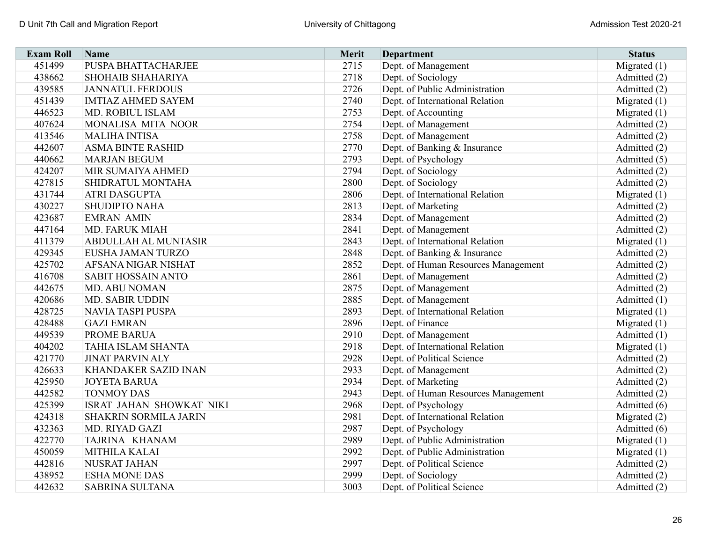| <b>Exam Roll</b> | Name                         | <b>Merit</b> | <b>Department</b>                   | <b>Status</b>  |
|------------------|------------------------------|--------------|-------------------------------------|----------------|
| 451499           | PUSPA BHATTACHARJEE          | 2715         | Dept. of Management                 | Migrated $(1)$ |
| 438662           | <b>SHOHAIB SHAHARIYA</b>     | 2718         | Dept. of Sociology                  | Admitted (2)   |
| 439585           | <b>JANNATUL FERDOUS</b>      | 2726         | Dept. of Public Administration      | Admitted (2)   |
| 451439           | <b>IMTIAZ AHMED SAYEM</b>    | 2740         | Dept. of International Relation     | Migrated $(1)$ |
| 446523           | MD. ROBIUL ISLAM             | 2753         | Dept. of Accounting                 | Migrated $(1)$ |
| 407624           | MONALISA MITA NOOR           | 2754         | Dept. of Management                 | Admitted (2)   |
| 413546           | <b>MALIHA INTISA</b>         | 2758         | Dept. of Management                 | Admitted (2)   |
| 442607           | <b>ASMA BINTE RASHID</b>     | 2770         | Dept. of Banking & Insurance        | Admitted (2)   |
| 440662           | <b>MARJAN BEGUM</b>          | 2793         | Dept. of Psychology                 | Admitted (5)   |
| 424207           | MIR SUMAIYA AHMED            | 2794         | Dept. of Sociology                  | Admitted (2)   |
| 427815           | SHIDRATUL MONTAHA            | 2800         | Dept. of Sociology                  | Admitted (2)   |
| 431744           | <b>ATRI DASGUPTA</b>         | 2806         | Dept. of International Relation     | Migrated $(1)$ |
| 430227           | <b>SHUDIPTO NAHA</b>         | 2813         | Dept. of Marketing                  | Admitted (2)   |
| 423687           | <b>EMRAN AMIN</b>            | 2834         | Dept. of Management                 | Admitted (2)   |
| 447164           | <b>MD. FARUK MIAH</b>        | 2841         | Dept. of Management                 | Admitted (2)   |
| 411379           | <b>ABDULLAH AL MUNTASIR</b>  | 2843         | Dept. of International Relation     | Migrated $(1)$ |
| 429345           | EUSHA JAMAN TURZO            | 2848         | Dept. of Banking & Insurance        | Admitted (2)   |
| 425702           | AFSANA NIGAR NISHAT          | 2852         | Dept. of Human Resources Management | Admitted (2)   |
| 416708           | <b>SABIT HOSSAIN ANTO</b>    | 2861         | Dept. of Management                 | Admitted (2)   |
| 442675           | <b>MD. ABU NOMAN</b>         | 2875         | Dept. of Management                 | Admitted (2)   |
| 420686           | <b>MD. SABIR UDDIN</b>       | 2885         | Dept. of Management                 | Admitted (1)   |
| 428725           | <b>NAVIA TASPI PUSPA</b>     | 2893         | Dept. of International Relation     | Migrated $(1)$ |
| 428488           | <b>GAZI EMRAN</b>            | 2896         | Dept. of Finance                    | Migrated $(1)$ |
| 449539           | <b>PROME BARUA</b>           | 2910         | Dept. of Management                 | Admitted (1)   |
| 404202           | TAHIA ISLAM SHANTA           | 2918         | Dept. of International Relation     | Migrated $(1)$ |
| 421770           | <b>JINAT PARVIN ALY</b>      | 2928         | Dept. of Political Science          | Admitted (2)   |
| 426633           | KHANDAKER SAZID INAN         | 2933         | Dept. of Management                 | Admitted (2)   |
| 425950           | <b>JOYETA BARUA</b>          | 2934         | Dept. of Marketing                  | Admitted (2)   |
| 442582           | <b>TONMOY DAS</b>            | 2943         | Dept. of Human Resources Management | Admitted (2)   |
| 425399           | ISRAT JAHAN SHOWKAT NIKI     | 2968         | Dept. of Psychology                 | Admitted (6)   |
| 424318           | <b>SHAKRIN SORMILA JARIN</b> | 2981         | Dept. of International Relation     | Migrated (2)   |
| 432363           | MD. RIYAD GAZI               | 2987         | Dept. of Psychology                 | Admitted (6)   |
| 422770           | TAJRINA KHANAM               | 2989         | Dept. of Public Administration      | Migrated $(1)$ |
| 450059           | MITHILA KALAI                | 2992         | Dept. of Public Administration      | Migrated $(1)$ |
| 442816           | NUSRAT JAHAN                 | 2997         | Dept. of Political Science          | Admitted (2)   |
| 438952           | <b>ESHA MONE DAS</b>         | 2999         | Dept. of Sociology                  | Admitted (2)   |
| 442632           | <b>SABRINA SULTANA</b>       | 3003         | Dept. of Political Science          | Admitted (2)   |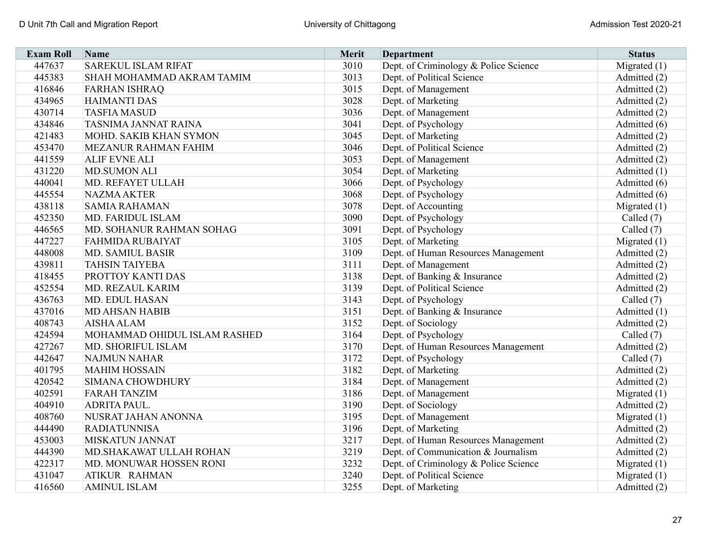| <b>Exam Roll</b> | Name                         | <b>Merit</b> | <b>Department</b>                     | <b>Status</b>  |
|------------------|------------------------------|--------------|---------------------------------------|----------------|
| 447637           | <b>SAREKUL ISLAM RIFAT</b>   | 3010         | Dept. of Criminology & Police Science | Migrated $(1)$ |
| 445383           | SHAH MOHAMMAD AKRAM TAMIM    | 3013         | Dept. of Political Science            | Admitted (2)   |
| 416846           | <b>FARHAN ISHRAQ</b>         | 3015         | Dept. of Management                   | Admitted (2)   |
| 434965           | <b>HAIMANTI DAS</b>          | 3028         | Dept. of Marketing                    | Admitted (2)   |
| 430714           | <b>TASFIA MASUD</b>          | 3036         | Dept. of Management                   | Admitted (2)   |
| 434846           | TASNIMA JANNAT RAINA         | 3041         | Dept. of Psychology                   | Admitted (6)   |
| 421483           | MOHD. SAKIB KHAN SYMON       | 3045         | Dept. of Marketing                    | Admitted (2)   |
| 453470           | MEZANUR RAHMAN FAHIM         | 3046         | Dept. of Political Science            | Admitted (2)   |
| 441559           | <b>ALIF EVNE ALI</b>         | 3053         | Dept. of Management                   | Admitted (2)   |
| 431220           | <b>MD.SUMON ALI</b>          | 3054         | Dept. of Marketing                    | Admitted (1)   |
| 440041           | MD. REFAYET ULLAH            | 3066         | Dept. of Psychology                   | Admitted (6)   |
| 445554           | <b>NAZMA AKTER</b>           | 3068         | Dept. of Psychology                   | Admitted (6)   |
| 438118           | <b>SAMIA RAHAMAN</b>         | 3078         | Dept. of Accounting                   | Migrated $(1)$ |
| 452350           | MD. FARIDUL ISLAM            | 3090         | Dept. of Psychology                   | Called (7)     |
| 446565           | MD. SOHANUR RAHMAN SOHAG     | 3091         | Dept. of Psychology                   | Called (7)     |
| 447227           | <b>FAHMIDA RUBAIYAT</b>      | 3105         | Dept. of Marketing                    | Migrated $(1)$ |
| 448008           | <b>MD. SAMIUL BASIR</b>      | 3109         | Dept. of Human Resources Management   | Admitted (2)   |
| 439811           | <b>TAHSIN TAIYEBA</b>        | 3111         | Dept. of Management                   | Admitted (2)   |
| 418455           | PROTTOY KANTI DAS            | 3138         | Dept. of Banking & Insurance          | Admitted (2)   |
| 452554           | MD. REZAUL KARIM             | 3139         | Dept. of Political Science            | Admitted (2)   |
| 436763           | MD. EDUL HASAN               | 3143         | Dept. of Psychology                   | Called $(7)$   |
| 437016           | <b>MD AHSAN HABIB</b>        | 3151         | Dept. of Banking & Insurance          | Admitted (1)   |
| 408743           | <b>AISHA ALAM</b>            | 3152         | Dept. of Sociology                    | Admitted (2)   |
| 424594           | MOHAMMAD OHIDUL ISLAM RASHED | 3164         | Dept. of Psychology                   | Called $(7)$   |
| 427267           | MD. SHORIFUL ISLAM           | 3170         | Dept. of Human Resources Management   | Admitted (2)   |
| 442647           | <b>NAJMUN NAHAR</b>          | 3172         | Dept. of Psychology                   | Called $(7)$   |
| 401795           | <b>MAHIM HOSSAIN</b>         | 3182         | Dept. of Marketing                    | Admitted (2)   |
| 420542           | <b>SIMANA CHOWDHURY</b>      | 3184         | Dept. of Management                   | Admitted (2)   |
| 402591           | <b>FARAH TANZIM</b>          | 3186         | Dept. of Management                   | Migrated $(1)$ |
| 404910           | <b>ADRITA PAUL.</b>          | 3190         | Dept. of Sociology                    | Admitted (2)   |
| 408760           | NUSRAT JAHAN ANONNA          | 3195         | Dept. of Management                   | Migrated $(1)$ |
| 444490           | <b>RADIATUNNISA</b>          | 3196         | Dept. of Marketing                    | Admitted (2)   |
| 453003           | <b>MISKATUN JANNAT</b>       | 3217         | Dept. of Human Resources Management   | Admitted (2)   |
| 444390           | MD.SHAKAWAT ULLAH ROHAN      | 3219         | Dept. of Communication & Journalism   | Admitted (2)   |
| 422317           | MD. MONUWAR HOSSEN RONI      | 3232         | Dept. of Criminology & Police Science | Migrated $(1)$ |
| 431047           | ATIKUR RAHMAN                | 3240         | Dept. of Political Science            | Migrated $(1)$ |
| 416560           | <b>AMINUL ISLAM</b>          | 3255         | Dept. of Marketing                    | Admitted (2)   |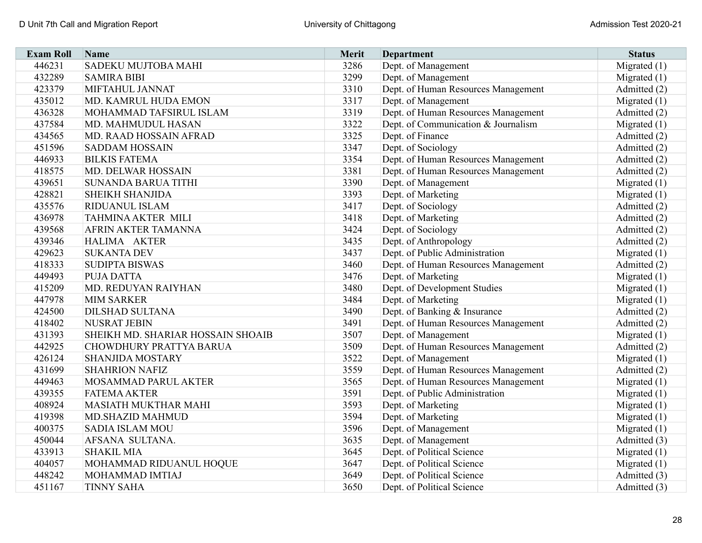| <b>Exam Roll</b> | Name                              | Merit | <b>Department</b>                   | <b>Status</b>  |
|------------------|-----------------------------------|-------|-------------------------------------|----------------|
| 446231           | <b>SADEKU MUJTOBA MAHI</b>        | 3286  | Dept. of Management                 | Migrated $(1)$ |
| 432289           | <b>SAMIRA BIBI</b>                | 3299  | Dept. of Management                 | Migrated $(1)$ |
| 423379           | MIFTAHUL JANNAT                   | 3310  | Dept. of Human Resources Management | Admitted (2)   |
| 435012           | MD. KAMRUL HUDA EMON              | 3317  | Dept. of Management                 | Migrated $(1)$ |
| 436328           | MOHAMMAD TAFSIRUL ISLAM           | 3319  | Dept. of Human Resources Management | Admitted (2)   |
| 437584           | MD. MAHMUDUL HASAN                | 3322  | Dept. of Communication & Journalism | Migrated $(1)$ |
| 434565           | MD. RAAD HOSSAIN AFRAD            | 3325  | Dept. of Finance                    | Admitted (2)   |
| 451596           | <b>SADDAM HOSSAIN</b>             | 3347  | Dept. of Sociology                  | Admitted (2)   |
| 446933           | <b>BILKIS FATEMA</b>              | 3354  | Dept. of Human Resources Management | Admitted (2)   |
| 418575           | MD. DELWAR HOSSAIN                | 3381  | Dept. of Human Resources Management | Admitted (2)   |
| 439651           | <b>SUNANDA BARUA TITHI</b>        | 3390  | Dept. of Management                 | Migrated $(1)$ |
| 428821           | <b>SHEIKH SHANJIDA</b>            | 3393  | Dept. of Marketing                  | Migrated $(1)$ |
| 435576           | RIDUANUL ISLAM                    | 3417  | Dept. of Sociology                  | Admitted (2)   |
| 436978           | <b>TAHMINA AKTER MILI</b>         | 3418  | Dept. of Marketing                  | Admitted (2)   |
| 439568           | AFRIN AKTER TAMANNA               | 3424  | Dept. of Sociology                  | Admitted (2)   |
| 439346           | HALIMA AKTER                      | 3435  | Dept. of Anthropology               | Admitted (2)   |
| 429623           | <b>SUKANTA DEV</b>                | 3437  | Dept. of Public Administration      | Migrated $(1)$ |
| 418333           | <b>SUDIPTA BISWAS</b>             | 3460  | Dept. of Human Resources Management | Admitted (2)   |
| 449493           | <b>PUJA DATTA</b>                 | 3476  | Dept. of Marketing                  | Migrated $(1)$ |
| 415209           | MD. REDUYAN RAIYHAN               | 3480  | Dept. of Development Studies        | Migrated $(1)$ |
| 447978           | <b>MIM SARKER</b>                 | 3484  | Dept. of Marketing                  | Migrated (1)   |
| 424500           | <b>DILSHAD SULTANA</b>            | 3490  | Dept. of Banking & Insurance        | Admitted (2)   |
| 418402           | <b>NUSRAT JEBIN</b>               | 3491  | Dept. of Human Resources Management | Admitted (2)   |
| 431393           | SHEIKH MD. SHARIAR HOSSAIN SHOAIB | 3507  | Dept. of Management                 | Migrated $(1)$ |
| 442925           | CHOWDHURY PRATTYA BARUA           | 3509  | Dept. of Human Resources Management | Admitted (2)   |
| 426124           | <b>SHANJIDA MOSTARY</b>           | 3522  | Dept. of Management                 | Migrated $(1)$ |
| 431699           | <b>SHAHRION NAFIZ</b>             | 3559  | Dept. of Human Resources Management | Admitted (2)   |
| 449463           | MOSAMMAD PARUL AKTER              | 3565  | Dept. of Human Resources Management | Migrated $(1)$ |
| 439355           | <b>FATEMA AKTER</b>               | 3591  | Dept. of Public Administration      | Migrated $(1)$ |
| 408924           | <b>MASIATH MUKTHAR MAHI</b>       | 3593  | Dept. of Marketing                  | Migrated $(1)$ |
| 419398           | <b>MD.SHAZID MAHMUD</b>           | 3594  | Dept. of Marketing                  | Migrated $(1)$ |
| 400375           | <b>SADIA ISLAM MOU</b>            | 3596  | Dept. of Management                 | Migrated $(1)$ |
| 450044           | AFSANA SULTANA.                   | 3635  | Dept. of Management                 | Admitted (3)   |
| 433913           | <b>SHAKIL MIA</b>                 | 3645  | Dept. of Political Science          | Migrated $(1)$ |
| 404057           | MOHAMMAD RIDUANUL HOQUE           | 3647  | Dept. of Political Science          | Migrated $(1)$ |
| 448242           | MOHAMMAD IMTIAJ                   | 3649  | Dept. of Political Science          | Admitted (3)   |
| 451167           | <b>TINNY SAHA</b>                 | 3650  | Dept. of Political Science          | Admitted (3)   |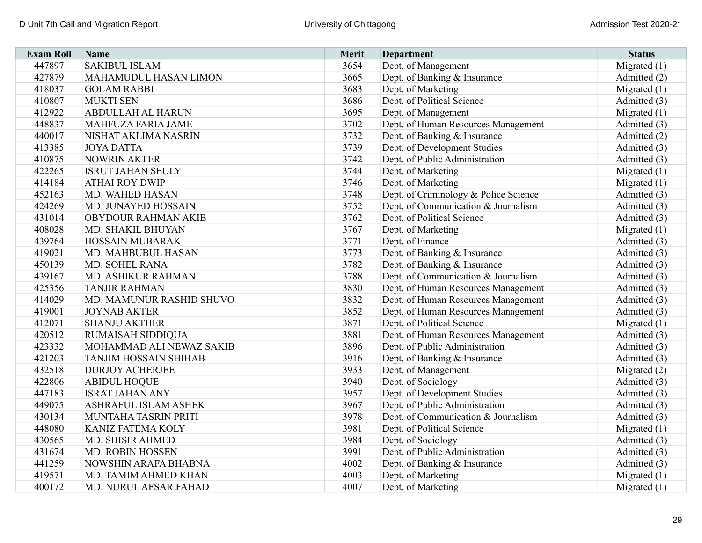| <b>Exam Roll</b> | Name                         | <b>Merit</b> | <b>Department</b>                     | <b>Status</b>  |
|------------------|------------------------------|--------------|---------------------------------------|----------------|
| 447897           | <b>SAKIBUL ISLAM</b>         | 3654         | Dept. of Management                   | Migrated $(1)$ |
| 427879           | <b>MAHAMUDUL HASAN LIMON</b> | 3665         | Dept. of Banking & Insurance          | Admitted (2)   |
| 418037           | <b>GOLAM RABBI</b>           | 3683         | Dept. of Marketing                    | Migrated $(1)$ |
| 410807           | <b>MUKTI SEN</b>             | 3686         | Dept. of Political Science            | Admitted (3)   |
| 412922           | <b>ABDULLAH AL HARUN</b>     | 3695         | Dept. of Management                   | Migrated $(1)$ |
| 448837           | MAHFUZA FARIA JAME           | 3702         | Dept. of Human Resources Management   | Admitted (3)   |
| 440017           | NISHAT AKLIMA NASRIN         | 3732         | Dept. of Banking & Insurance          | Admitted (2)   |
| 413385           | <b>JOYA DATTA</b>            | 3739         | Dept. of Development Studies          | Admitted (3)   |
| 410875           | <b>NOWRIN AKTER</b>          | 3742         | Dept. of Public Administration        | Admitted (3)   |
| 422265           | <b>ISRUT JAHAN SEULY</b>     | 3744         | Dept. of Marketing                    | Migrated $(1)$ |
| 414184           | <b>ATHAI ROY DWIP</b>        | 3746         | Dept. of Marketing                    | Migrated $(1)$ |
| 452163           | MD. WAHED HASAN              | 3748         | Dept. of Criminology & Police Science | Admitted (3)   |
| 424269           | MD. JUNAYED HOSSAIN          | 3752         | Dept. of Communication & Journalism   | Admitted (3)   |
| 431014           | OBYDOUR RAHMAN AKIB          | 3762         | Dept. of Political Science            | Admitted (3)   |
| 408028           | MD. SHAKIL BHUYAN            | 3767         | Dept. of Marketing                    | Migrated $(1)$ |
| 439764           | <b>HOSSAIN MUBARAK</b>       | 3771         | Dept. of Finance                      | Admitted (3)   |
| 419021           | MD. MAHBUBUL HASAN           | 3773         | Dept. of Banking & Insurance          | Admitted (3)   |
| 450139           | MD. SOHEL RANA               | 3782         | Dept. of Banking & Insurance          | Admitted (3)   |
| 439167           | MD. ASHIKUR RAHMAN           | 3788         | Dept. of Communication & Journalism   | Admitted (3)   |
| 425356           | <b>TANJIR RAHMAN</b>         | 3830         | Dept. of Human Resources Management   | Admitted (3)   |
| 414029           | MD. MAMUNUR RASHID SHUVO     | 3832         | Dept. of Human Resources Management   | Admitted (3)   |
| 419001           | <b>JOYNAB AKTER</b>          | 3852         | Dept. of Human Resources Management   | Admitted (3)   |
| 412071           | <b>SHANJU AKTHER</b>         | 3871         | Dept. of Political Science            | Migrated $(1)$ |
| 420512           | RUMAISAH SIDDIQUA            | 3881         | Dept. of Human Resources Management   | Admitted (3)   |
| 423332           | MOHAMMAD ALI NEWAZ SAKIB     | 3896         | Dept. of Public Administration        | Admitted (3)   |
| 421203           | <b>TANJIM HOSSAIN SHIHAB</b> | 3916         | Dept. of Banking & Insurance          | Admitted (3)   |
| 432518           | <b>DURJOY ACHERJEE</b>       | 3933         | Dept. of Management                   | Migrated (2)   |
| 422806           | <b>ABIDUL HOQUE</b>          | 3940         | Dept. of Sociology                    | Admitted (3)   |
| 447183           | <b>ISRAT JAHAN ANY</b>       | 3957         | Dept. of Development Studies          | Admitted (3)   |
| 449075           | ASHRAFUL ISLAM ASHEK         | 3967         | Dept. of Public Administration        | Admitted (3)   |
| 430134           | MUNTAHA TASRIN PRITI         | 3978         | Dept. of Communication & Journalism   | Admitted (3)   |
| 448080           | KANIZ FATEMA KOLY            | 3981         | Dept. of Political Science            | Migrated $(1)$ |
| 430565           | MD. SHISIR AHMED             | 3984         | Dept. of Sociology                    | Admitted (3)   |
| 431674           | MD. ROBIN HOSSEN             | 3991         | Dept. of Public Administration        | Admitted (3)   |
| 441259           | NOWSHIN ARAFA BHABNA         | 4002         | Dept. of Banking & Insurance          | Admitted (3)   |
| 419571           | MD. TAMIM AHMED KHAN         | 4003         | Dept. of Marketing                    | Migrated $(1)$ |
| 400172           | MD. NURUL AFSAR FAHAD        | 4007         | Dept. of Marketing                    | Migrated $(1)$ |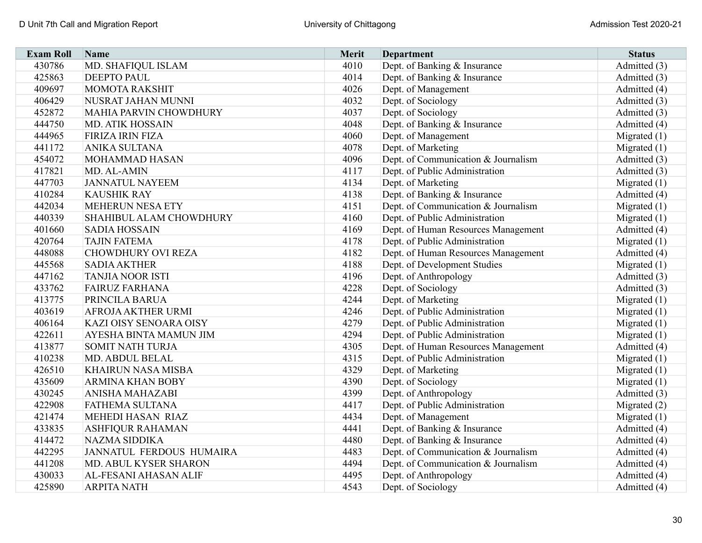| <b>Exam Roll</b> | Name                          | <b>Merit</b> | <b>Department</b>                   | <b>Status</b>  |
|------------------|-------------------------------|--------------|-------------------------------------|----------------|
| 430786           | MD. SHAFIQUL ISLAM            | 4010         | Dept. of Banking & Insurance        | Admitted (3)   |
| 425863           | <b>DEEPTO PAUL</b>            | 4014         | Dept. of Banking & Insurance        | Admitted (3)   |
| 409697           | <b>MOMOTA RAKSHIT</b>         | 4026         | Dept. of Management                 | Admitted (4)   |
| 406429           | NUSRAT JAHAN MUNNI            | 4032         | Dept. of Sociology                  | Admitted (3)   |
| 452872           | <b>MAHIA PARVIN CHOWDHURY</b> | 4037         | Dept. of Sociology                  | Admitted (3)   |
| 444750           | <b>MD. ATIK HOSSAIN</b>       | 4048         | Dept. of Banking & Insurance        | Admitted (4)   |
| 444965           | FIRIZA IRIN FIZA              | 4060         | Dept. of Management                 | Migrated $(1)$ |
| 441172           | <b>ANIKA SULTANA</b>          | 4078         | Dept. of Marketing                  | Migrated $(1)$ |
| 454072           | MOHAMMAD HASAN                | 4096         | Dept. of Communication & Journalism | Admitted (3)   |
| 417821           | MD. AL-AMIN                   | 4117         | Dept. of Public Administration      | Admitted (3)   |
| 447703           | <b>JANNATUL NAYEEM</b>        | 4134         | Dept. of Marketing                  | Migrated $(1)$ |
| 410284           | <b>KAUSHIK RAY</b>            | 4138         | Dept. of Banking & Insurance        | Admitted (4)   |
| 442034           | <b>MEHERUN NESA ETY</b>       | 4151         | Dept. of Communication & Journalism | Migrated $(1)$ |
| 440339           | SHAHIBUL ALAM CHOWDHURY       | 4160         | Dept. of Public Administration      | Migrated $(1)$ |
| 401660           | <b>SADIA HOSSAIN</b>          | 4169         | Dept. of Human Resources Management | Admitted (4)   |
| 420764           | <b>TAJIN FATEMA</b>           | 4178         | Dept. of Public Administration      | Migrated $(1)$ |
| 448088           | <b>CHOWDHURY OVI REZA</b>     | 4182         | Dept. of Human Resources Management | Admitted (4)   |
| 445568           | <b>SADIA AKTHER</b>           | 4188         | Dept. of Development Studies        | Migrated $(1)$ |
| 447162           | <b>TANJIA NOOR ISTI</b>       | 4196         | Dept. of Anthropology               | Admitted (3)   |
| 433762           | <b>FAIRUZ FARHANA</b>         | 4228         | Dept. of Sociology                  | Admitted (3)   |
| 413775           | PRINCILA BARUA                | 4244         | Dept. of Marketing                  | Migrated $(1)$ |
| 403619           | AFROJA AKTHER URMI            | 4246         | Dept. of Public Administration      | Migrated (1)   |
| 406164           | KAZI OISY SENOARA OISY        | 4279         | Dept. of Public Administration      | Migrated $(1)$ |
| 422611           | AYESHA BINTA MAMUN JIM        | 4294         | Dept. of Public Administration      | Migrated $(1)$ |
| 413877           | <b>SOMIT NATH TURJA</b>       | 4305         | Dept. of Human Resources Management | Admitted (4)   |
| 410238           | MD. ABDUL BELAL               | 4315         | Dept. of Public Administration      | Migrated $(1)$ |
| 426510           | <b>KHAIRUN NASA MISBA</b>     | 4329         | Dept. of Marketing                  | Migrated $(1)$ |
| 435609           | <b>ARMINA KHAN BOBY</b>       | 4390         | Dept. of Sociology                  | Migrated $(1)$ |
| 430245           | ANISHA MAHAZABI               | 4399         | Dept. of Anthropology               | Admitted (3)   |
| 422908           | FATHEMA SULTANA               | 4417         | Dept. of Public Administration      | Migrated $(2)$ |
| 421474           | MEHEDI HASAN RIAZ             | 4434         | Dept. of Management                 | Migrated $(1)$ |
| 433835           | ASHFIQUR RAHAMAN              | 4441         | Dept. of Banking & Insurance        | Admitted (4)   |
| 414472           | NAZMA SIDDIKA                 | 4480         | Dept. of Banking & Insurance        | Admitted (4)   |
| 442295           | JANNATUL FERDOUS HUMAIRA      | 4483         | Dept. of Communication & Journalism | Admitted (4)   |
| 441208           | MD. ABUL KYSER SHARON         | 4494         | Dept. of Communication & Journalism | Admitted (4)   |
| 430033           | AL-FESANI AHASAN ALIF         | 4495         | Dept. of Anthropology               | Admitted (4)   |
| 425890           | <b>ARPITA NATH</b>            | 4543         | Dept. of Sociology                  | Admitted (4)   |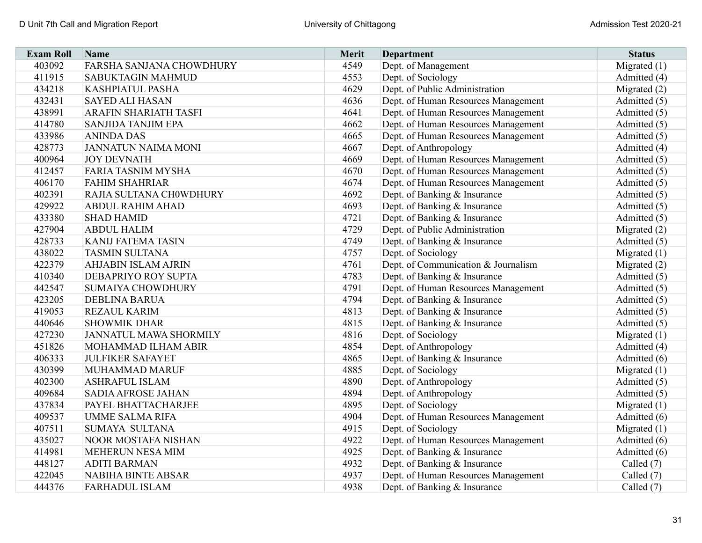| <b>Exam Roll</b> | Name                       | <b>Merit</b> | <b>Department</b>                   | <b>Status</b>  |
|------------------|----------------------------|--------------|-------------------------------------|----------------|
| 403092           | FARSHA SANJANA CHOWDHURY   | 4549         | Dept. of Management                 | Migrated (1)   |
| 411915           | <b>SABUKTAGIN MAHMUD</b>   | 4553         | Dept. of Sociology                  | Admitted (4)   |
| 434218           | KASHPIATUL PASHA           | 4629         | Dept. of Public Administration      | Migrated $(2)$ |
| 432431           | <b>SAYED ALI HASAN</b>     | 4636         | Dept. of Human Resources Management | Admitted (5)   |
| 438991           | ARAFIN SHARIATH TASFI      | 4641         | Dept. of Human Resources Management | Admitted (5)   |
| 414780           | <b>SANJIDA TANJIM EPA</b>  | 4662         | Dept. of Human Resources Management | Admitted (5)   |
| 433986           | <b>ANINDA DAS</b>          | 4665         | Dept. of Human Resources Management | Admitted (5)   |
| 428773           | <b>JANNATUN NAIMA MONI</b> | 4667         | Dept. of Anthropology               | Admitted (4)   |
| 400964           | <b>JOY DEVNATH</b>         | 4669         | Dept. of Human Resources Management | Admitted (5)   |
| 412457           | <b>FARIA TASNIM MYSHA</b>  | 4670         | Dept. of Human Resources Management | Admitted (5)   |
| 406170           | <b>FAHIM SHAHRIAR</b>      | 4674         | Dept. of Human Resources Management | Admitted (5)   |
| 402391           | RAJIA SULTANA CH0WDHURY    | 4692         | Dept. of Banking & Insurance        | Admitted (5)   |
| 429922           | <b>ABDUL RAHIM AHAD</b>    | 4693         | Dept. of Banking & Insurance        | Admitted (5)   |
| 433380           | <b>SHAD HAMID</b>          | 4721         | Dept. of Banking & Insurance        | Admitted (5)   |
| 427904           | <b>ABDUL HALIM</b>         | 4729         | Dept. of Public Administration      | Migrated $(2)$ |
| 428733           | <b>KANIJ FATEMA TASIN</b>  | 4749         | Dept. of Banking & Insurance        | Admitted (5)   |
| 438022           | <b>TASMIN SULTANA</b>      | 4757         | Dept. of Sociology                  | Migrated $(1)$ |
| 422379           | <b>AHJABIN ISLAM AJRIN</b> | 4761         | Dept. of Communication & Journalism | Migrated (2)   |
| 410340           | DEBAPRIYO ROY SUPTA        | 4783         | Dept. of Banking & Insurance        | Admitted (5)   |
| 442547           | <b>SUMAIYA CHOWDHURY</b>   | 4791         | Dept. of Human Resources Management | Admitted (5)   |
| 423205           | <b>DEBLINA BARUA</b>       | 4794         | Dept. of Banking & Insurance        | Admitted (5)   |
| 419053           | <b>REZAUL KARIM</b>        | 4813         | Dept. of Banking & Insurance        | Admitted (5)   |
| 440646           | <b>SHOWMIK DHAR</b>        | 4815         | Dept. of Banking & Insurance        | Admitted (5)   |
| 427230           | JANNATUL MAWA SHORMILY     | 4816         | Dept. of Sociology                  | Migrated $(1)$ |
| 451826           | MOHAMMAD ILHAM ABIR        | 4854         | Dept. of Anthropology               | Admitted (4)   |
| 406333           | <b>JULFIKER SAFAYET</b>    | 4865         | Dept. of Banking & Insurance        | Admitted (6)   |
| 430399           | MUHAMMAD MARUF             | 4885         | Dept. of Sociology                  | Migrated $(1)$ |
| 402300           | <b>ASHRAFUL ISLAM</b>      | 4890         | Dept. of Anthropology               | Admitted (5)   |
| 409684           | <b>SADIA AFROSE JAHAN</b>  | 4894         | Dept. of Anthropology               | Admitted (5)   |
| 437834           | PAYEL BHATTACHARJEE        | 4895         | Dept. of Sociology                  | Migrated $(1)$ |
| 409537           | <b>UMME SALMA RIFA</b>     | 4904         | Dept. of Human Resources Management | Admitted (6)   |
| 407511           | SUMAYA SULTANA             | 4915         | Dept. of Sociology                  | Migrated $(1)$ |
| 435027           | NOOR MOSTAFA NISHAN        | 4922         | Dept. of Human Resources Management | Admitted (6)   |
| 414981           | MEHERUN NESA MIM           | 4925         | Dept. of Banking & Insurance        | Admitted (6)   |
| 448127           | <b>ADITI BARMAN</b>        | 4932         | Dept. of Banking & Insurance        | Called (7)     |
| 422045           | <b>NABIHA BINTE ABSAR</b>  | 4937         | Dept. of Human Resources Management | Called (7)     |
| 444376           | <b>FARHADUL ISLAM</b>      | 4938         | Dept. of Banking & Insurance        | Called (7)     |